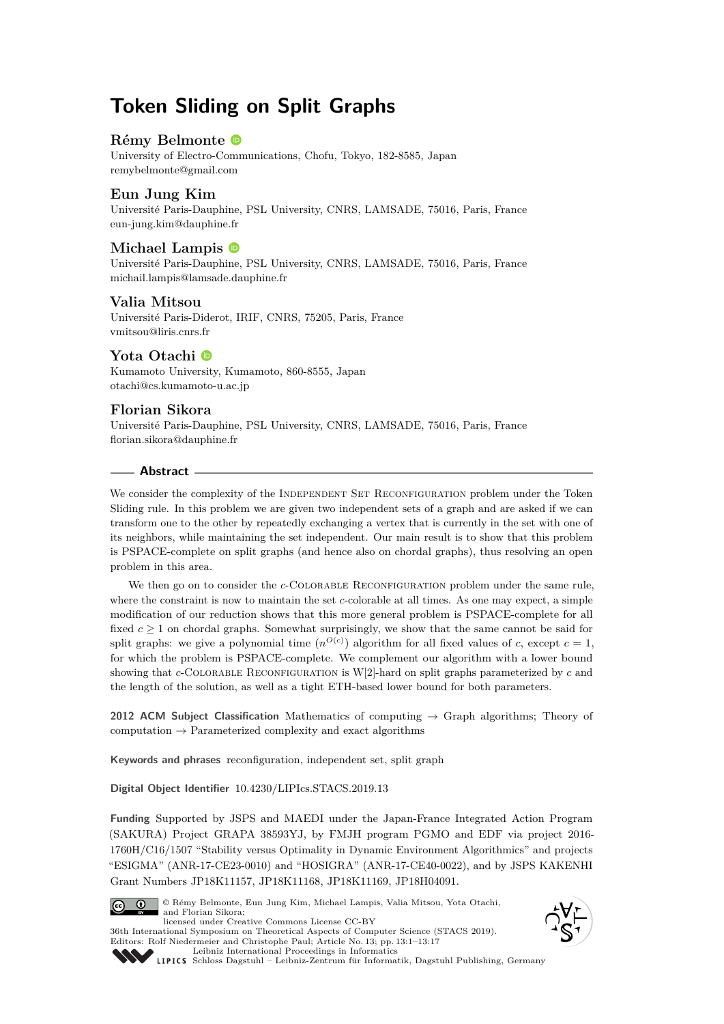# **Token Sliding on Split Graphs**

# **Rémy Belmonte**

University of Electro-Communications, Chofu, Tokyo, 182-8585, Japan [remybelmonte@gmail.com](mailto:remybelmonte@gmail.com)

# **Eun Jung Kim**

Université Paris-Dauphine, PSL University, CNRS, LAMSADE, 75016, Paris, France [eun-jung.kim@dauphine.fr](mailto:eun-jung.kim@dauphine.fr)

# **Michael Lampis**

Université Paris-Dauphine, PSL University, CNRS, LAMSADE, 75016, Paris, France [michail.lampis@lamsade.dauphine.fr](mailto:michail.lampis@lamsade.dauphine.fr)

## **Valia Mitsou**

Université Paris-Diderot, IRIF, CNRS, 75205, Paris, France [vmitsou@liris.cnrs.fr](mailto:vmitsou@liris.cnrs.fr)

## **Yota Otachi**

Kumamoto University, Kumamoto, 860-8555, Japan [otachi@cs.kumamoto-u.ac.jp](mailto:otachi@cs.kumamoto-u.ac.jp)

## **Florian Sikora**

Université Paris-Dauphine, PSL University, CNRS, LAMSADE, 75016, Paris, France [florian.sikora@dauphine.fr](mailto:florian.sikora@dauphine.fr)

# **Abstract**

We consider the complexity of the INDEPENDENT SET RECONFIGURATION problem under the Token Sliding rule. In this problem we are given two independent sets of a graph and are asked if we can transform one to the other by repeatedly exchanging a vertex that is currently in the set with one of its neighbors, while maintaining the set independent. Our main result is to show that this problem is PSPACE-complete on split graphs (and hence also on chordal graphs), thus resolving an open problem in this area.

We then go on to consider the *c*-COLORABLE RECONFIGURATION problem under the same rule, where the constraint is now to maintain the set *c*-colorable at all times. As one may expect, a simple modification of our reduction shows that this more general problem is PSPACE-complete for all fixed  $c \geq 1$  on chordal graphs. Somewhat surprisingly, we show that the same cannot be said for split graphs: we give a polynomial time  $(n^{O(c)})$  algorithm for all fixed values of *c*, except  $c = 1$ , for which the problem is PSPACE-complete. We complement our algorithm with a lower bound showing that *c*-COLORABLE RECONFIGURATION is W[2]-hard on split graphs parameterized by *c* and the length of the solution, as well as a tight ETH-based lower bound for both parameters.

**2012 ACM Subject Classification** Mathematics of computing → Graph algorithms; Theory of computation  $\rightarrow$  Parameterized complexity and exact algorithms

**Keywords and phrases** reconfiguration, independent set, split graph

**Digital Object Identifier** [10.4230/LIPIcs.STACS.2019.13](https://doi.org/10.4230/LIPIcs.STACS.2019.13)

**Funding** Supported by JSPS and MAEDI under the Japan-France Integrated Action Program (SAKURA) Project GRAPA 38593YJ, by FMJH program PGMO and EDF via project 2016- 1760H/C16/1507 "Stability versus Optimality in Dynamic Environment Algorithmics" and projects "ESIGMA" (ANR-17-CE23-0010) and "HOSIGRA" (ANR-17-CE40-0022), and by JSPS KAKENHI Grant Numbers JP18K11157, JP18K11168, JP18K11169, JP18H04091.



© Rémy Belmonte, Eun Jung Kim, Michael Lampis, Valia Mitsou, Yota Otachi, and Florian Sikora; licensed under Creative Commons License CC-BY 36th International Symposium on Theoretical Aspects of Computer Science (STACS 2019).





[Leibniz International Proceedings in Informatics](https://www.dagstuhl.de/lipics/) [Schloss Dagstuhl – Leibniz-Zentrum für Informatik, Dagstuhl Publishing, Germany](https://www.dagstuhl.de)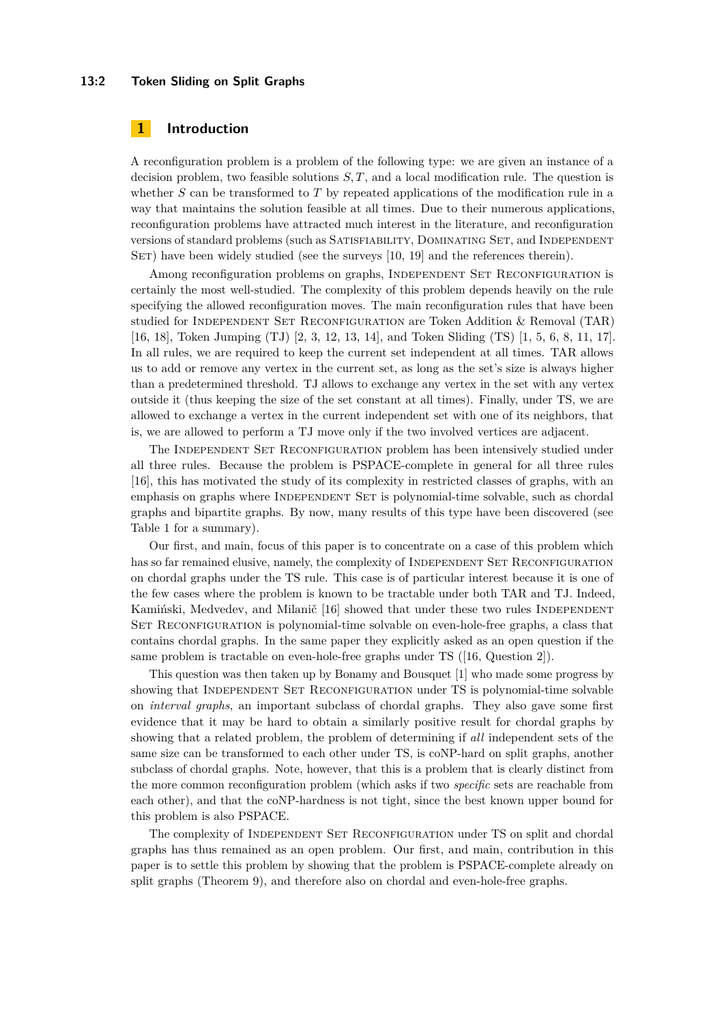#### **13:2 Token Sliding on Split Graphs**

# **1 Introduction**

A reconfiguration problem is a problem of the following type: we are given an instance of a decision problem, two feasible solutions *S, T*, and a local modification rule. The question is whether *S* can be transformed to *T* by repeated applications of the modification rule in a way that maintains the solution feasible at all times. Due to their numerous applications, reconfiguration problems have attracted much interest in the literature, and reconfiguration versions of standard problems (such as Satisfiability, Dominating Set, and Independent SET) have been widely studied (see the surveys [\[10,](#page-15-0) [19\]](#page-16-1) and the references therein).

Among reconfiguration problems on graphs, INDEPENDENT SET RECONFIGURATION is certainly the most well-studied. The complexity of this problem depends heavily on the rule specifying the allowed reconfiguration moves. The main reconfiguration rules that have been studied for Independent Set Reconfiguration are Token Addition & Removal (TAR) [\[16,](#page-16-2) [18\]](#page-16-3), Token Jumping (TJ) [\[2,](#page-15-1) [3,](#page-15-2) [12,](#page-15-3) [13,](#page-15-4) [14\]](#page-15-5), and Token Sliding (TS) [\[1,](#page-15-6) [5,](#page-15-7) [6,](#page-15-8) [8,](#page-15-9) [11,](#page-15-10) [17\]](#page-16-4). In all rules, we are required to keep the current set independent at all times. TAR allows us to add or remove any vertex in the current set, as long as the set's size is always higher than a predetermined threshold. TJ allows to exchange any vertex in the set with any vertex outside it (thus keeping the size of the set constant at all times). Finally, under TS, we are allowed to exchange a vertex in the current independent set with one of its neighbors, that is, we are allowed to perform a TJ move only if the two involved vertices are adjacent.

The INDEPENDENT SET RECONFIGURATION problem has been intensively studied under all three rules. Because the problem is PSPACE-complete in general for all three rules [\[16\]](#page-16-2), this has motivated the study of its complexity in restricted classes of graphs, with an emphasis on graphs where INDEPENDENT SET is polynomial-time solvable, such as chordal graphs and bipartite graphs. By now, many results of this type have been discovered (see Table [1](#page-2-0) for a summary).

Our first, and main, focus of this paper is to concentrate on a case of this problem which has so far remained elusive, namely, the complexity of INDEPENDENT SET RECONFIGURATION on chordal graphs under the TS rule. This case is of particular interest because it is one of the few cases where the problem is known to be tractable under both TAR and TJ. Indeed, Kamiński, Medvedev, and Milanič [\[16\]](#page-16-2) showed that under these two rules INDEPENDENT SET RECONFIGURATION is polynomial-time solvable on even-hole-free graphs, a class that contains chordal graphs. In the same paper they explicitly asked as an open question if the same problem is tractable on even-hole-free graphs under TS ([\[16,](#page-16-2) Question 2]).

This question was then taken up by Bonamy and Bousquet [\[1\]](#page-15-6) who made some progress by showing that INDEPENDENT SET RECONFIGURATION under TS is polynomial-time solvable on *interval graphs*, an important subclass of chordal graphs. They also gave some first evidence that it may be hard to obtain a similarly positive result for chordal graphs by showing that a related problem, the problem of determining if *all* independent sets of the same size can be transformed to each other under TS, is coNP-hard on split graphs, another subclass of chordal graphs. Note, however, that this is a problem that is clearly distinct from the more common reconfiguration problem (which asks if two *specific* sets are reachable from each other), and that the coNP-hardness is not tight, since the best known upper bound for this problem is also PSPACE.

The complexity of INDEPENDENT SET RECONFIGURATION under TS on split and chordal graphs has thus remained as an open problem. Our first, and main, contribution in this paper is to settle this problem by showing that the problem is PSPACE-complete already on split graphs (Theorem [9\)](#page-9-0), and therefore also on chordal and even-hole-free graphs.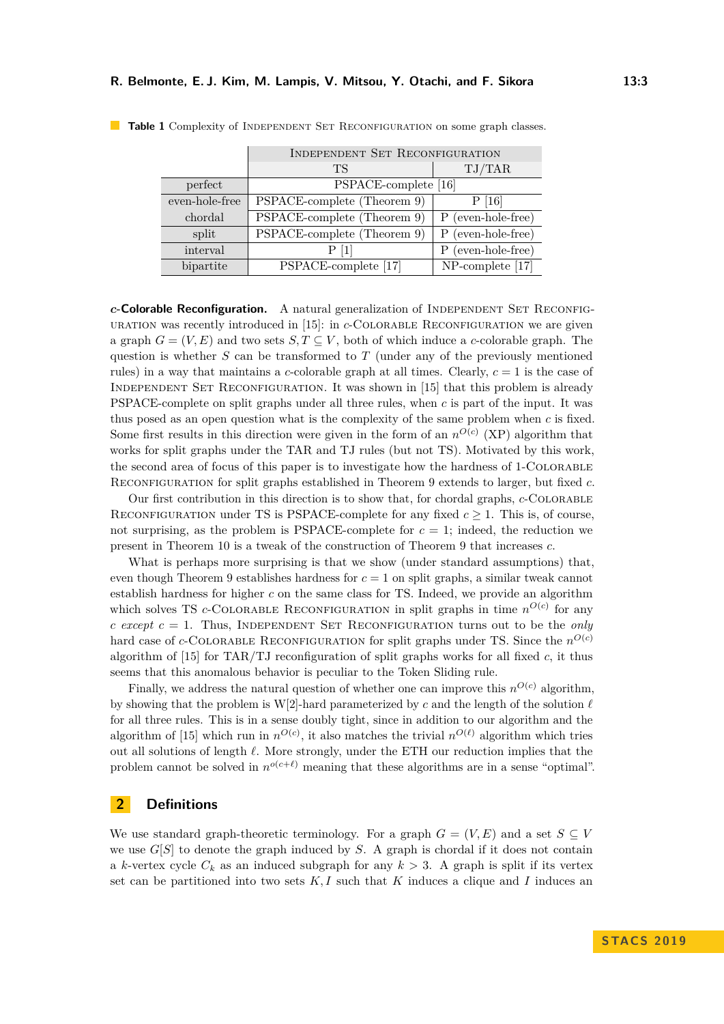|                | INDEPENDENT SET RECONFIGURATION |                     |
|----------------|---------------------------------|---------------------|
|                | TS                              | TJ/TAR              |
| perfect        | PSPACE-complete [16]            |                     |
| even-hole-free | PSPACE-complete (Theorem 9)     | P[16]               |
| chordal        | PSPACE-complete (Theorem 9)     | P (even-hole-free)  |
| split          | PSPACE-complete (Theorem 9)     | P (even-hole-free)  |
| interval       | P [1]                           | P (even-hole-free)  |
| bipartite      | PSPACE-complete [17]            | $NP$ -complete [17] |

<span id="page-2-0"></span>**Table 1** Complexity of INDEPENDENT SET RECONFIGURATION on some graph classes.

*c***-Colorable Reconfiguration.** A natural generalization of INDEPENDENT SET RECONFIG-uration was recently introduced in [\[15\]](#page-16-5): in *c*-COLORABLE RECONFIGURATION we are given a graph  $G = (V, E)$  and two sets  $S, T \subseteq V$ , both of which induce a *c*-colorable graph. The question is whether *S* can be transformed to *T* (under any of the previously mentioned rules) in a way that maintains a *c*-colorable graph at all times. Clearly,  $c = 1$  is the case of Independent Set Reconfiguration. It was shown in [\[15\]](#page-16-5) that this problem is already PSPACE-complete on split graphs under all three rules, when *c* is part of the input. It was thus posed as an open question what is the complexity of the same problem when *c* is fixed. Some first results in this direction were given in the form of an  $n^{O(c)}$  (XP) algorithm that works for split graphs under the TAR and TJ rules (but not TS). Motivated by this work, the second area of focus of this paper is to investigate how the hardness of 1-Colorable Reconfiguration for split graphs established in Theorem [9](#page-9-0) extends to larger, but fixed *c*.

Our first contribution in this direction is to show that, for chordal graphs, *c*-COLORABLE RECONFIGURATION under TS is PSPACE-complete for any fixed  $c \geq 1$ . This is, of course, not surprising, as the problem is PSPACE-complete for  $c = 1$ ; indeed, the reduction we present in Theorem [10](#page-10-0) is a tweak of the construction of Theorem [9](#page-9-0) that increases *c*.

What is perhaps more surprising is that we show (under standard assumptions) that, even though Theorem [9](#page-9-0) establishes hardness for  $c = 1$  on split graphs, a similar tweak cannot establish hardness for higher *c* on the same class for TS. Indeed, we provide an algorithm which solves TS *c*-COLORABLE RECONFIGURATION in split graphs in time  $n^{O(c)}$  for any *c except*  $c = 1$ . Thus, INDEPENDENT SET RECONFIGURATION turns out to be the *only* hard case of *c*-COLORABLE RECONFIGURATION for split graphs under TS. Since the  $n^{O(c)}$ algorithm of [\[15\]](#page-16-5) for TAR/TJ reconfiguration of split graphs works for all fixed *c*, it thus seems that this anomalous behavior is peculiar to the Token Sliding rule.

Finally, we address the natural question of whether one can improve this  $n^{O(c)}$  algorithm, by showing that the problem is W[2]-hard parameterized by *c* and the length of the solution  $\ell$ for all three rules. This is in a sense doubly tight, since in addition to our algorithm and the algorithm of [\[15\]](#page-16-5) which run in  $n^{O(c)}$ , it also matches the trivial  $n^{O(\ell)}$  algorithm which tries out all solutions of length  $\ell$ . More strongly, under the ETH our reduction implies that the problem cannot be solved in  $n^{o(c+\ell)}$  meaning that these algorithms are in a sense "optimal".

#### **2 Definitions**

We use standard graph-theoretic terminology. For a graph  $G = (V, E)$  and a set  $S \subseteq V$ we use  $G[S]$  to denote the graph induced by  $S$ . A graph is chordal if it does not contain a *k*-vertex cycle  $C_k$  as an induced subgraph for any  $k > 3$ . A graph is split if its vertex set can be partitioned into two sets *K, I* such that *K* induces a clique and *I* induces an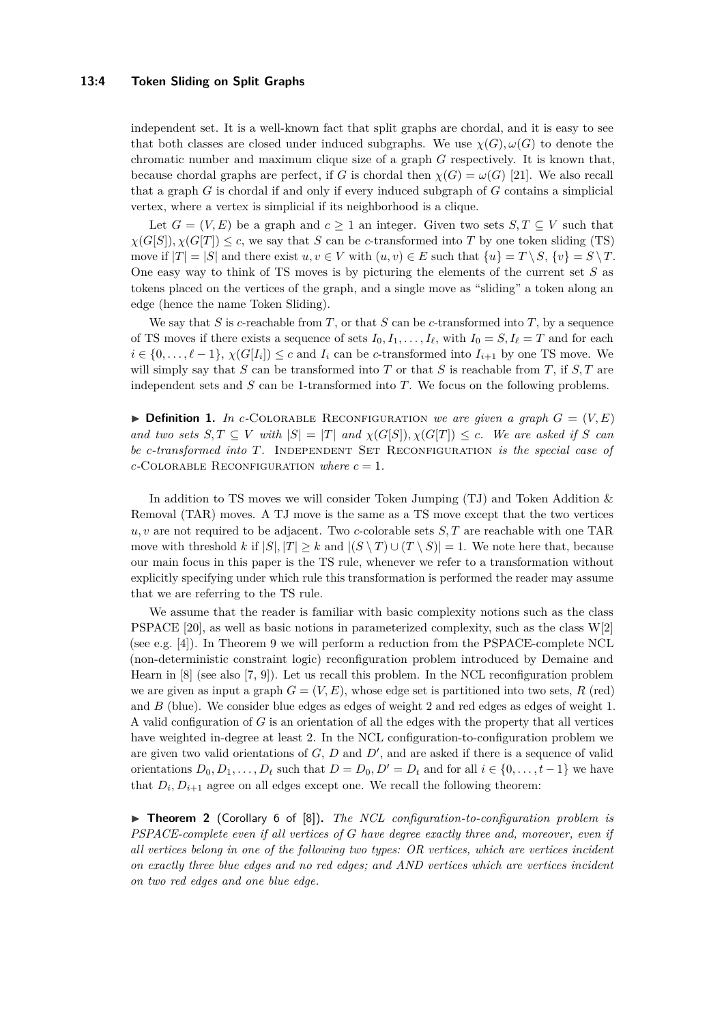#### **13:4 Token Sliding on Split Graphs**

independent set. It is a well-known fact that split graphs are chordal, and it is easy to see that both classes are closed under induced subgraphs. We use  $\chi(G), \omega(G)$  to denote the chromatic number and maximum clique size of a graph *G* respectively. It is known that, because chordal graphs are perfect, if *G* is chordal then  $\chi(G) = \omega(G)$  [\[21\]](#page-16-6). We also recall that a graph *G* is chordal if and only if every induced subgraph of *G* contains a simplicial vertex, where a vertex is simplicial if its neighborhood is a clique.

Let  $G = (V, E)$  be a graph and  $c \ge 1$  an integer. Given two sets  $S, T \subseteq V$  such that  $\chi(G[S]), \chi(G[T]) \leq c$ , we say that *S* can be *c*-transformed into *T* by one token sliding (TS) move if  $|T| = |S|$  and there exist  $u, v \in V$  with  $(u, v) \in E$  such that  $\{u\} = T \setminus S$ ,  $\{v\} = S \setminus T$ . One easy way to think of TS moves is by picturing the elements of the current set *S* as tokens placed on the vertices of the graph, and a single move as "sliding" a token along an edge (hence the name Token Sliding).

We say that *S* is *c*-reachable from *T*, or that *S* can be *c*-transformed into *T*, by a sequence of TS moves if there exists a sequence of sets  $I_0, I_1, \ldots, I_\ell$ , with  $I_0 = S, I_\ell = T$  and for each  $i \in \{0, \ldots, \ell - 1\}, \chi(G[I_i]) \leq c$  and  $I_i$  can be *c*-transformed into  $I_{i+1}$  by one TS move. We will simply say that *S* can be transformed into *T* or that *S* is reachable from *T*, if  $S, T$  are independent sets and *S* can be 1-transformed into *T*. We focus on the following problems.

 $\triangleright$  **Definition 1.** In *c*-COLORABLE RECONFIGURATION we are given a graph  $G = (V, E)$  $\mathcal{A}$  *and two sets*  $S, T \subseteq V$  *with*  $|S| = |T|$  *and*  $\chi(G[S]), \chi(G[T]) \leq c$ *. We are asked if S can be c*-transformed into T. INDEPENDENT SET RECONFIGURATION is the special case of  $c$ <sup>-</sup>COLORABLE RECONFIGURATION *where*  $c = 1$ *.* 

In addition to TS moves we will consider Token Jumping (TJ) and Token Addition  $\&$ Removal (TAR) moves. A TJ move is the same as a TS move except that the two vertices *u, v* are not required to be adjacent. Two *c*-colorable sets *S, T* are reachable with one TAR move with threshold *k* if  $|S|, |T| \geq k$  and  $|(S \setminus T) \cup (T \setminus S)| = 1$ . We note here that, because our main focus in this paper is the TS rule, whenever we refer to a transformation without explicitly specifying under which rule this transformation is performed the reader may assume that we are referring to the TS rule.

We assume that the reader is familiar with basic complexity notions such as the class PSPACE [\[20\]](#page-16-7), as well as basic notions in parameterized complexity, such as the class W[2] (see e.g. [\[4\]](#page-15-11)). In Theorem [9](#page-9-0) we will perform a reduction from the PSPACE-complete NCL (non-deterministic constraint logic) reconfiguration problem introduced by Demaine and Hearn in [\[8\]](#page-15-9) (see also [\[7,](#page-15-12) [9\]](#page-15-13)). Let us recall this problem. In the NCL reconfiguration problem we are given as input a graph  $G = (V, E)$ , whose edge set is partitioned into two sets, R (red) and *B* (blue). We consider blue edges as edges of weight 2 and red edges as edges of weight 1. A valid configuration of *G* is an orientation of all the edges with the property that all vertices have weighted in-degree at least 2. In the NCL configuration-to-configuration problem we are given two valid orientations of  $G, D$  and  $D'$ , and are asked if there is a sequence of valid orientations  $D_0, D_1, \ldots, D_t$  such that  $D = D_0, D' = D_t$  and for all  $i \in \{0, \ldots, t-1\}$  we have that  $D_i, D_{i+1}$  agree on all edges except one. We recall the following theorem:

<span id="page-3-0"></span>▶ **Theorem 2** (Corollary 6 of [\[8\]](#page-15-9)). *The NCL configuration-to-configuration problem is PSPACE-complete even if all vertices of G have degree exactly three and, moreover, even if all vertices belong in one of the following two types: OR vertices, which are vertices incident on exactly three blue edges and no red edges; and AND vertices which are vertices incident on two red edges and one blue edge.*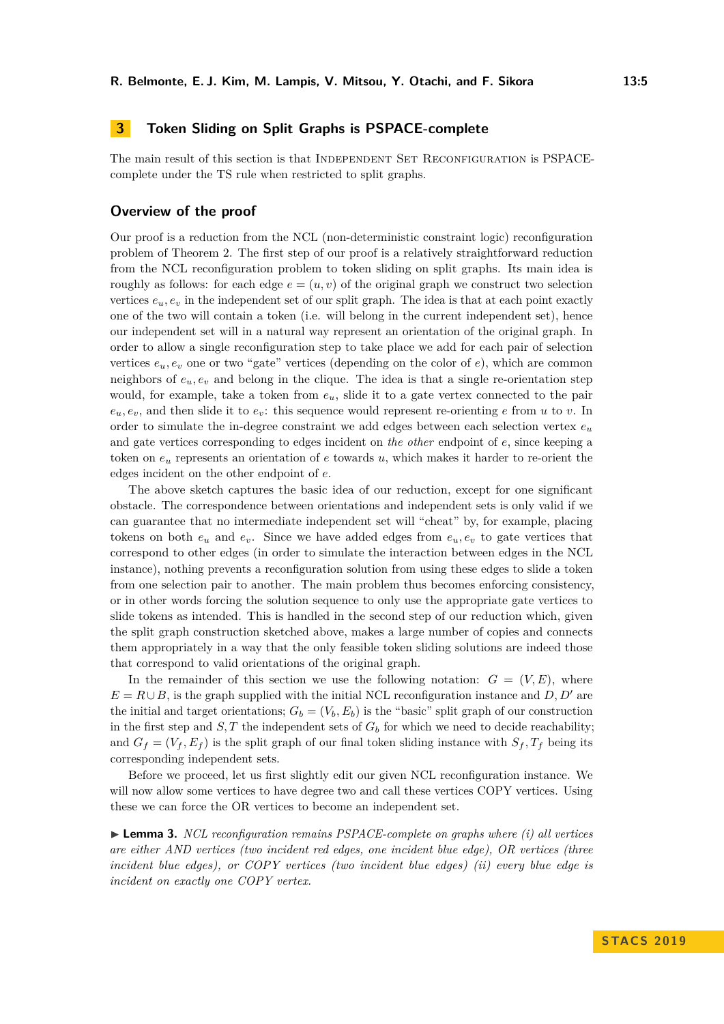# <span id="page-4-1"></span>**3 Token Sliding on Split Graphs is PSPACE-complete**

The main result of this section is that INDEPENDENT SET RECONFIGURATION is PSPACEcomplete under the TS rule when restricted to split graphs.

#### **Overview of the proof**

Our proof is a reduction from the NCL (non-deterministic constraint logic) reconfiguration problem of Theorem [2.](#page-3-0) The first step of our proof is a relatively straightforward reduction from the NCL reconfiguration problem to token sliding on split graphs. Its main idea is roughly as follows: for each edge  $e = (u, v)$  of the original graph we construct two selection vertices  $e_u$ ,  $e_v$  in the independent set of our split graph. The idea is that at each point exactly one of the two will contain a token (i.e. will belong in the current independent set), hence our independent set will in a natural way represent an orientation of the original graph. In order to allow a single reconfiguration step to take place we add for each pair of selection vertices  $e_u, e_v$  one or two "gate" vertices (depending on the color of  $e$ ), which are common neighbors of  $e_u, e_v$  and belong in the clique. The idea is that a single re-orientation step would, for example, take a token from *eu*, slide it to a gate vertex connected to the pair  $e<sub>u</sub>, e<sub>v</sub>$ , and then slide it to  $e<sub>v</sub>$ : this sequence would represent re-orienting *e* from *u* to *v*. In order to simulate the in-degree constraint we add edges between each selection vertex *e<sup>u</sup>* and gate vertices corresponding to edges incident on *the other* endpoint of *e*, since keeping a token on *e<sup>u</sup>* represents an orientation of *e* towards *u*, which makes it harder to re-orient the edges incident on the other endpoint of *e*.

The above sketch captures the basic idea of our reduction, except for one significant obstacle. The correspondence between orientations and independent sets is only valid if we can guarantee that no intermediate independent set will "cheat" by, for example, placing tokens on both  $e_u$  and  $e_v$ . Since we have added edges from  $e_u, e_v$  to gate vertices that correspond to other edges (in order to simulate the interaction between edges in the NCL instance), nothing prevents a reconfiguration solution from using these edges to slide a token from one selection pair to another. The main problem thus becomes enforcing consistency, or in other words forcing the solution sequence to only use the appropriate gate vertices to slide tokens as intended. This is handled in the second step of our reduction which, given the split graph construction sketched above, makes a large number of copies and connects them appropriately in a way that the only feasible token sliding solutions are indeed those that correspond to valid orientations of the original graph.

In the remainder of this section we use the following notation:  $G = (V, E)$ , where  $E = R \cup B$ , is the graph supplied with the initial NCL reconfiguration instance and *D*, *D'* are the initial and target orientations;  $G_b = (V_b, E_b)$  is the "basic" split graph of our construction in the first step and  $S, T$  the independent sets of  $G<sub>b</sub>$  for which we need to decide reachability; and  $G_f = (V_f, E_f)$  is the split graph of our final token sliding instance with  $S_f, T_f$  being its corresponding independent sets.

Before we proceed, let us first slightly edit our given NCL reconfiguration instance. We will now allow some vertices to have degree two and call these vertices COPY vertices. Using these we can force the OR vertices to become an independent set.

<span id="page-4-0"></span>▶ **Lemma 3.** *NCL reconfiguration remains PSPACE-complete on graphs where (i) all vertices are either AND vertices (two incident red edges, one incident blue edge), OR vertices (three incident blue edges), or COPY vertices (two incident blue edges) (ii) every blue edge is incident on exactly one COPY vertex.*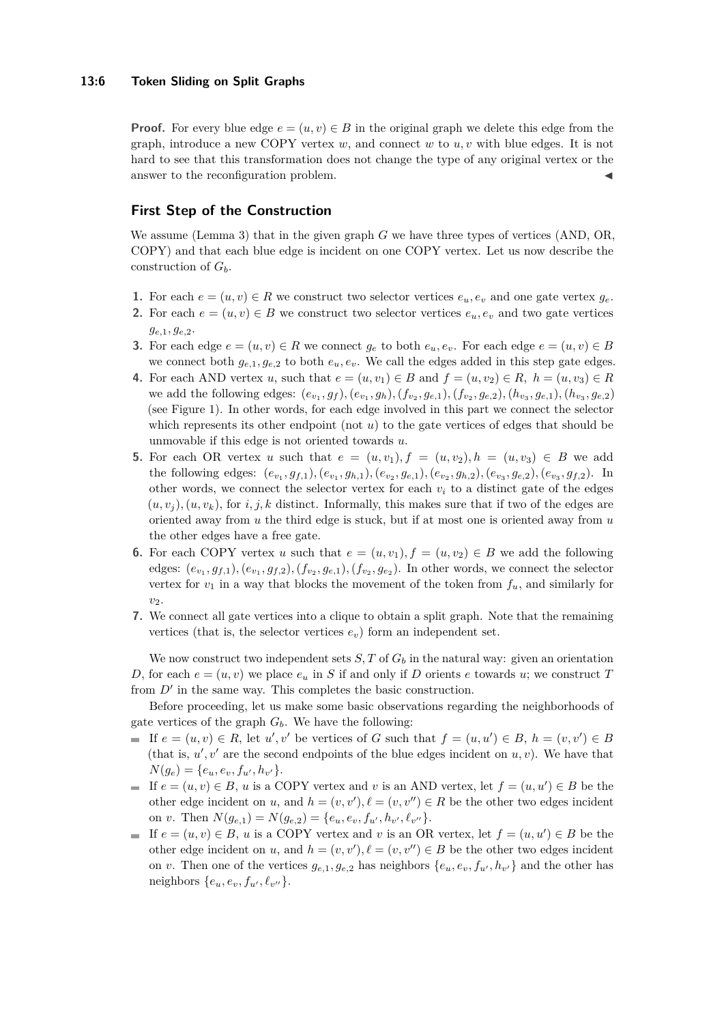#### **13:6 Token Sliding on Split Graphs**

**Proof.** For every blue edge  $e = (u, v) \in B$  in the original graph we delete this edge from the graph, introduce a new COPY vertex *w*, and connect *w* to *u, v* with blue edges. It is not hard to see that this transformation does not change the type of any original vertex or the answer to the reconfiguration problem.

## **First Step of the Construction**

We assume (Lemma [3\)](#page-4-0) that in the given graph *G* we have three types of vertices (AND, OR, COPY) and that each blue edge is incident on one COPY vertex. Let us now describe the construction of *Gb*.

- **1.** For each  $e = (u, v) \in R$  we construct two selector vertices  $e_u, e_v$  and one gate vertex  $g_e$ .
- **2.** For each  $e = (u, v) \in B$  we construct two selector vertices  $e_u, e_v$  and two gate vertices *ge,*1*, ge,*2.
- **3.** For each edge  $e = (u, v) \in R$  we connect  $g_e$  to both  $e_u, e_v$ . For each edge  $e = (u, v) \in B$ we connect both  $g_{e,1}, g_{e,2}$  to both  $e_u, e_v$ . We call the edges added in this step gate edges.
- **4.** For each AND vertex *u*, such that  $e = (u, v_1) \in B$  and  $f = (u, v_2) \in R$ ,  $h = (u, v_3) \in R$ we add the following edges:  $(e_{v_1}, g_f)$ ,  $(e_{v_1}, g_h)$ ,  $(f_{v_2}, g_{e,1})$ ,  $(f_{v_2}, g_{e,2})$ ,  $(h_{v_3}, g_{e,1})$ ,  $(h_{v_3}, g_{e,2})$ (see Figure [1\)](#page-6-0). In other words, for each edge involved in this part we connect the selector which represents its other endpoint (not *u*) to the gate vertices of edges that should be unmovable if this edge is not oriented towards *u*.
- **5.** For each OR vertex *u* such that  $e = (u, v_1), f = (u, v_2), h = (u, v_3) \in B$  we add the following edges:  $(e_{v_1}, g_{f,1}), (e_{v_1}, g_{h,1}), (e_{v_2}, g_{e,1}), (e_{v_2}, g_{h,2}), (e_{v_3}, g_{e,2}), (e_{v_3}, g_{f,2}).$  In other words, we connect the selector vertex for each  $v_i$  to a distinct gate of the edges  $(u, v_i)$ ,  $(u, v_k)$ , for *i*, *j*, *k* distinct. Informally, this makes sure that if two of the edges are oriented away from *u* the third edge is stuck, but if at most one is oriented away from *u* the other edges have a free gate.
- **6.** For each COPY vertex *u* such that  $e = (u, v_1), f = (u, v_2) \in B$  we add the following edges:  $(e_{v_1}, g_{f,1}), (e_{v_1}, g_{f,2}), (f_{v_2}, g_{e,1}), (f_{v_2}, g_{e_2}).$  In other words, we connect the selector vertex for  $v_1$  in a way that blocks the movement of the token from  $f_u$ , and similarly for *v*2.
- **7.** We connect all gate vertices into a clique to obtain a split graph. Note that the remaining vertices (that is, the selector vertices  $e_v$ ) form an independent set.

We now construct two independent sets  $S, T$  of  $G<sub>b</sub>$  in the natural way: given an orientation *D*, for each  $e = (u, v)$  we place  $e_u$  in *S* if and only if *D* orients *e* towards *u*; we construct *T* from  $D'$  in the same way. This completes the basic construction.

Before proceeding, let us make some basic observations regarding the neighborhoods of gate vertices of the graph *Gb*. We have the following:

- If  $e = (u, v) \in R$ , let  $u', v'$  be vertices of *G* such that  $f = (u, u') \in B$ ,  $h = (v, v') \in B$ (that is,  $u', v'$  are the second endpoints of the blue edges incident on  $u, v$ ). We have that  $N(g_e) = \{e_u, e_v, f_{u'}, h_{v'}\}.$
- If  $e = (u, v) \in B$ , *u* is a COPY vertex and *v* is an AND vertex, let  $f = (u, u') \in B$  be the other edge incident on *u*, and  $h = (v, v'), \ell = (v, v'') \in R$  be the other two edges incident on *v*. Then  $N(g_{e,1}) = N(g_{e,2}) = \{e_u, e_v, f_{u'}, h_{v'}, \ell_{v''}\}.$
- If  $e = (u, v) \in B$ , *u* is a COPY vertex and *v* is an OR vertex, let  $f = (u, u') \in B$  be the other edge incident on *u*, and  $h = (v, v'), \ell = (v, v'') \in B$  be the other two edges incident on *v*. Then one of the vertices  $g_{e,1}, g_{e,2}$  has neighbors  $\{e_u, e_v, f_{u'}, h_{v'}\}$  and the other has neighbors  $\{e_u, e_v, f_{u'}, \ell_{v''}\}.$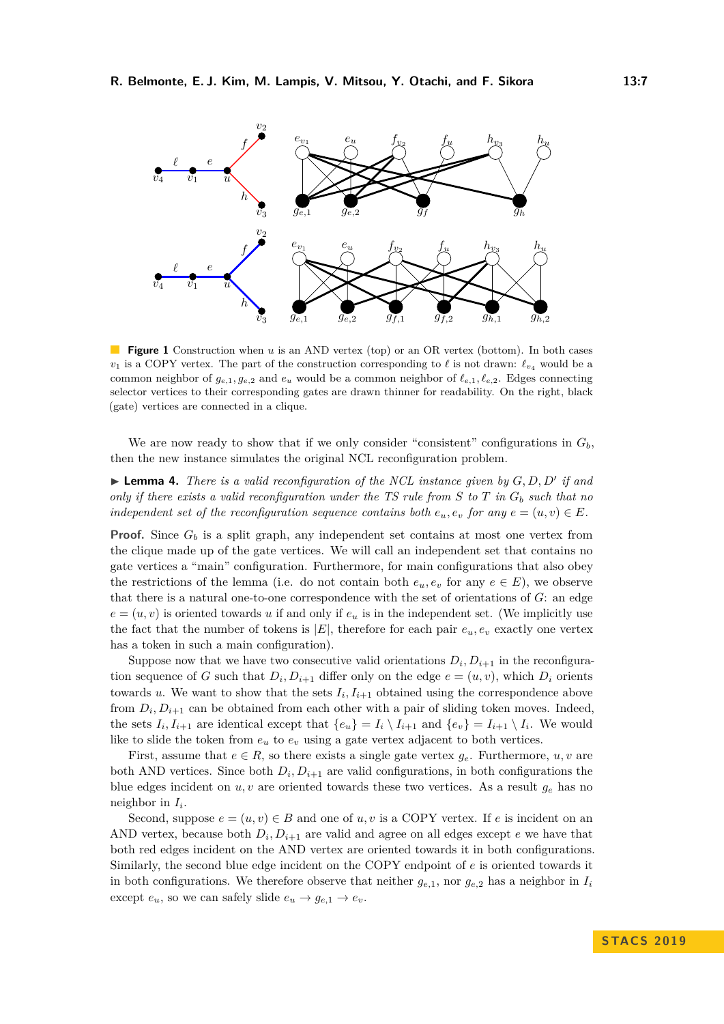<span id="page-6-0"></span>

**Figure 1** Construction when *u* is an AND vertex (top) or an OR vertex (bottom). In both cases  $v_1$  is a COPY vertex. The part of the construction corresponding to  $\ell$  is not drawn:  $\ell_{v_4}$  would be a common neighbor of  $g_{e,1}, g_{e,2}$  and  $e_u$  would be a common neighbor of  $\ell_{e,1}, \ell_{e,2}$ . Edges connecting selector vertices to their corresponding gates are drawn thinner for readability. On the right, black (gate) vertices are connected in a clique.

We are now ready to show that if we only consider "consistent" configurations in  $G_b$ . then the new instance simulates the original NCL reconfiguration problem.

<span id="page-6-1"></span>**Example 4.** *There is a valid reconfiguration of the NCL instance given by*  $G, D, D'$  *if and only if there exists a valid reconfiguration under the TS rule from S to T in G<sup>b</sup> such that no independent set of the reconfiguration sequence contains both*  $e_u, e_v$  *for any*  $e = (u, v) \in E$ *.* 

**Proof.** Since  $G_b$  is a split graph, any independent set contains at most one vertex from the clique made up of the gate vertices. We will call an independent set that contains no gate vertices a "main" configuration. Furthermore, for main configurations that also obey the restrictions of the lemma (i.e. do not contain both  $e_u, e_v$  for any  $e \in E$ ), we observe that there is a natural one-to-one correspondence with the set of orientations of *G*: an edge  $e = (u, v)$  is oriented towards *u* if and only if  $e_u$  is in the independent set. (We implicitly use the fact that the number of tokens is  $|E|$ , therefore for each pair  $e_u, e_v$  exactly one vertex has a token in such a main configuration).

Suppose now that we have two consecutive valid orientations  $D_i, D_{i+1}$  in the reconfiguration sequence of *G* such that  $D_i, D_{i+1}$  differ only on the edge  $e = (u, v)$ , which  $D_i$  orients towards  $u$ . We want to show that the sets  $I_i, I_{i+1}$  obtained using the correspondence above from  $D_i, D_{i+1}$  can be obtained from each other with a pair of sliding token moves. Indeed, the sets  $I_i, I_{i+1}$  are identical except that  $\{e_u\} = I_i \setminus I_{i+1}$  and  $\{e_v\} = I_{i+1} \setminus I_i$ . We would like to slide the token from  $e<sub>v</sub>$  to  $e<sub>v</sub>$  using a gate vertex adjacent to both vertices.

First, assume that  $e \in R$ , so there exists a single gate vertex  $g_e$ . Furthermore,  $u, v$  are both AND vertices. Since both  $D_i, D_{i+1}$  are valid configurations, in both configurations the blue edges incident on  $u, v$  are oriented towards these two vertices. As a result  $g_e$  has no neighbor in *I<sup>i</sup>* .

Second, suppose  $e = (u, v) \in B$  and one of  $u, v$  is a COPY vertex. If *e* is incident on an AND vertex, because both  $D_i, D_{i+1}$  are valid and agree on all edges except  $e$  we have that both red edges incident on the AND vertex are oriented towards it in both configurations. Similarly, the second blue edge incident on the COPY endpoint of *e* is oriented towards it in both configurations. We therefore observe that neither  $g_{e,1}$ , nor  $g_{e,2}$  has a neighbor in  $I_i$ except  $e_u$ , so we can safely slide  $e_u \rightarrow g_{e,1} \rightarrow e_v$ .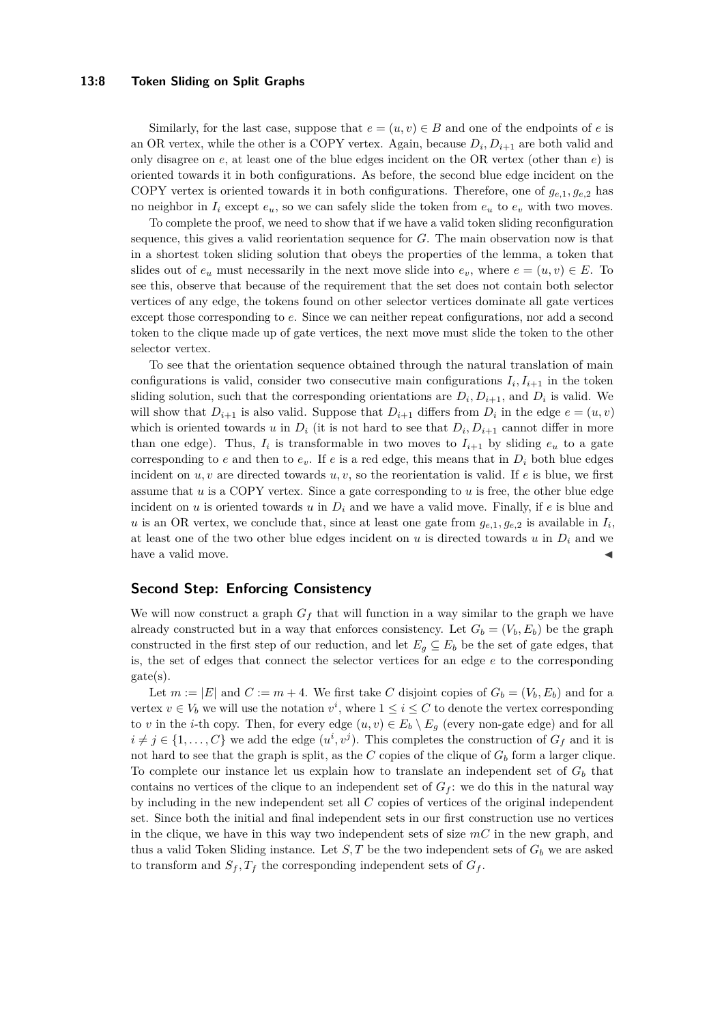#### **13:8 Token Sliding on Split Graphs**

Similarly, for the last case, suppose that  $e = (u, v) \in B$  and one of the endpoints of *e* is an OR vertex, while the other is a COPY vertex. Again, because  $D_i, D_{i+1}$  are both valid and only disagree on *e*, at least one of the blue edges incident on the OR vertex (other than *e*) is oriented towards it in both configurations. As before, the second blue edge incident on the COPY vertex is oriented towards it in both configurations. Therefore, one of  $g_{e,1}, g_{e,2}$  has no neighbor in  $I_i$  except  $e_u$ , so we can safely slide the token from  $e_u$  to  $e_v$  with two moves.

To complete the proof, we need to show that if we have a valid token sliding reconfiguration sequence, this gives a valid reorientation sequence for *G*. The main observation now is that in a shortest token sliding solution that obeys the properties of the lemma, a token that slides out of  $e_u$  must necessarily in the next move slide into  $e_v$ , where  $e = (u, v) \in E$ . To see this, observe that because of the requirement that the set does not contain both selector vertices of any edge, the tokens found on other selector vertices dominate all gate vertices except those corresponding to *e*. Since we can neither repeat configurations, nor add a second token to the clique made up of gate vertices, the next move must slide the token to the other selector vertex.

To see that the orientation sequence obtained through the natural translation of main configurations is valid, consider two consecutive main configurations  $I_i, I_{i+1}$  in the token sliding solution, such that the corresponding orientations are  $D_i, D_{i+1}$ , and  $D_i$  is valid. We will show that  $D_{i+1}$  is also valid. Suppose that  $D_{i+1}$  differs from  $D_i$  in the edge  $e = (u, v)$ which is oriented towards *u* in  $D_i$  (it is not hard to see that  $D_i, D_{i+1}$  cannot differ in more than one edge). Thus,  $I_i$  is transformable in two moves to  $I_{i+1}$  by sliding  $e_u$  to a gate corresponding to *e* and then to  $e_v$ . If *e* is a red edge, this means that in  $D_i$  both blue edges incident on  $u, v$  are directed towards  $u, v$ , so the reorientation is valid. If  $e$  is blue, we first assume that *u* is a COPY vertex. Since a gate corresponding to *u* is free, the other blue edge incident on  $u$  is oriented towards  $u$  in  $D_i$  and we have a valid move. Finally, if  $e$  is blue and *u* is an OR vertex, we conclude that, since at least one gate from  $g_{e,1}, g_{e,2}$  is available in  $I_i$ at least one of the two other blue edges incident on  $u$  is directed towards  $u$  in  $D_i$  and we have a valid move.

### **Second Step: Enforcing Consistency**

We will now construct a graph *G<sup>f</sup>* that will function in a way similar to the graph we have already constructed but in a way that enforces consistency. Let  $G_b = (V_b, E_b)$  be the graph constructed in the first step of our reduction, and let  $E_g \subseteq E_b$  be the set of gate edges, that is, the set of edges that connect the selector vertices for an edge *e* to the corresponding gate(s).

Let  $m := |E|$  and  $C := m + 4$ . We first take C disjoint copies of  $G_b = (V_b, E_b)$  and for a vertex  $v \in V_b$  we will use the notation  $v^i$ , where  $1 \leq i \leq C$  to denote the vertex corresponding to *v* in the *i*-th copy. Then, for every edge  $(u, v) \in E_b \setminus E_g$  (every non-gate edge) and for all  $i \neq j \in \{1, \ldots, C\}$  we add the edge  $(u^i, v^j)$ . This completes the construction of  $G_f$  and it is not hard to see that the graph is split, as the *C* copies of the clique of  $G<sub>b</sub>$  form a larger clique. To complete our instance let us explain how to translate an independent set of  $G<sub>b</sub>$  that contains no vertices of the clique to an independent set of  $G_f$ : we do this in the natural way by including in the new independent set all *C* copies of vertices of the original independent set. Since both the initial and final independent sets in our first construction use no vertices in the clique, we have in this way two independent sets of size *mC* in the new graph, and thus a valid Token Sliding instance. Let  $S, T$  be the two independent sets of  $G<sub>b</sub>$  we are asked to transform and  $S_f$ ,  $T_f$  the corresponding independent sets of  $G_f$ .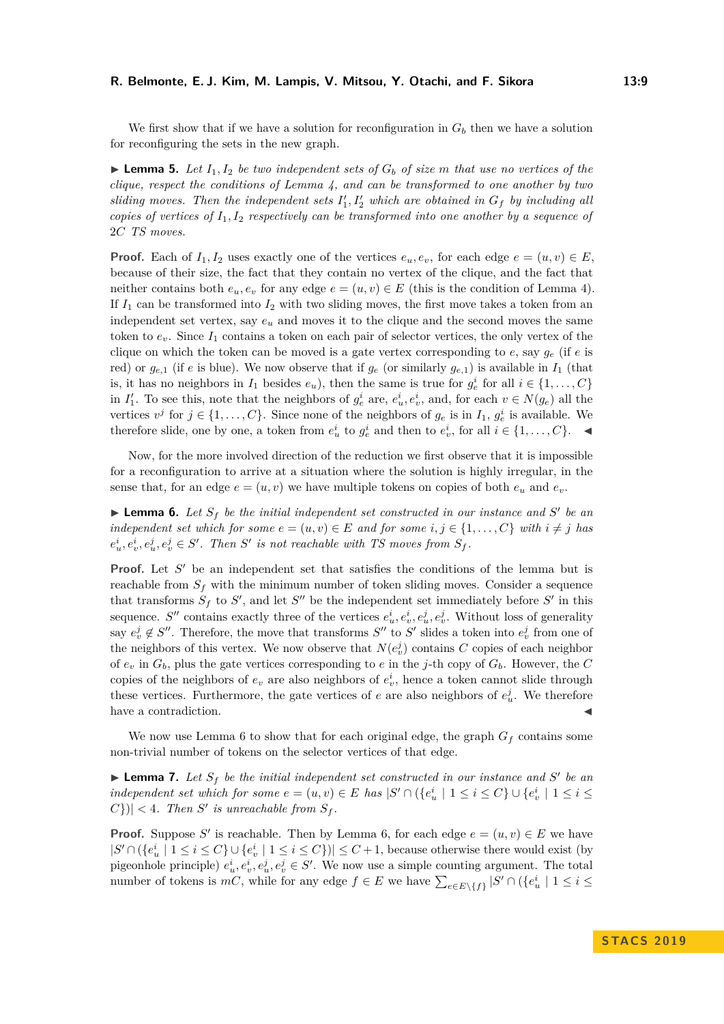#### **R. Belmonte, E. J. Kim, M. Lampis, V. Mitsou, Y. Otachi, and F. Sikora 13:9**

We first show that if we have a solution for reconfiguration in  $G_b$  then we have a solution for reconfiguring the sets in the new graph.

<span id="page-8-2"></span>**Lemma 5.** Let  $I_1, I_2$  be two independent sets of  $G_b$  of size m that use no vertices of the *clique, respect the conditions of Lemma [4,](#page-6-1) and can be transformed to one another by two* sliding moves. Then the independent sets  $I'_1, I'_2$  which are obtained in  $G_f$  by including all *copies of vertices of I*1*, I*<sup>2</sup> *respectively can be transformed into one another by a sequence of* 2*C TS moves.*

**Proof.** Each of  $I_1, I_2$  uses exactly one of the vertices  $e_u, e_v$ , for each edge  $e = (u, v) \in E$ , because of their size, the fact that they contain no vertex of the clique, and the fact that neither contains both  $e_u, e_v$  for any edge  $e = (u, v) \in E$  (this is the condition of Lemma [4\)](#page-6-1). If  $I_1$  can be transformed into  $I_2$  with two sliding moves, the first move takes a token from an independent set vertex, say *e<sup>u</sup>* and moves it to the clique and the second moves the same token to  $e_v$ . Since  $I_1$  contains a token on each pair of selector vertices, the only vertex of the clique on which the token can be moved is a gate vertex corresponding to  $e$ , say  $g_e$  (if  $e$  is red) or  $g_{e,1}$  (if *e* is blue). We now observe that if  $g_e$  (or similarly  $g_{e,1}$ ) is available in  $I_1$  (that is, it has no neighbors in  $I_1$  besides  $e_u$ ), then the same is true for  $g_e^i$  for all  $i \in \{1, \ldots, C\}$ in  $I'_1$ . To see this, note that the neighbors of  $g_e^i$  are,  $e_u^i, e_v^i$ , and, for each  $v \in N(g_e)$  all the vertices  $v^j$  for  $j \in \{1, ..., C\}$ . Since none of the neighbors of  $g_e$  is in  $I_1, g_e^i$  is available. We therefore slide, one by one, a token from  $e^i_u$  to  $g^i_e$  and then to  $e^i_v$ , for all  $i \in \{1, \ldots, C\}$ .

Now, for the more involved direction of the reduction we first observe that it is impossible for a reconfiguration to arrive at a situation where the solution is highly irregular, in the sense that, for an edge  $e = (u, v)$  we have multiple tokens on copies of both  $e_u$  and  $e_v$ .

<span id="page-8-0"></span>**Example 1** Lemma 6. Let  $S_f$  be the initial independent set constructed in our instance and S' be an *independent set which for some*  $e = (u, v) \in E$  *and for some*  $i, j \in \{1, \ldots, C\}$  *with*  $i \neq j$  *has*  $e_u^i, e_v^i, e_u^j, e_v^j \in S'.$  Then *S'* is not reachable with TS moves from  $S_f$ .

**Proof.** Let  $S'$  be an independent set that satisfies the conditions of the lemma but is reachable from  $S_f$  with the minimum number of token sliding moves. Consider a sequence that transforms  $S_f$  to  $S'$ , and let  $S''$  be the independent set immediately before  $S'$  in this sequence. *S*<sup>*n*</sup> contains exactly three of the vertices  $e_u^i, e_v^i, e_u^j, e_v^j$ . Without loss of generality say  $e_v^j \notin S''$ . Therefore, the move that transforms  $S''$  to  $S'$  slides a token into  $e_v^j$  from one of the neighbors of this vertex. We now observe that  $N(e_i^j)$  contains  $C$  copies of each neighbor of  $e_v$  in  $G_b$ , plus the gate vertices corresponding to *e* in the *j*-th copy of  $G_b$ . However, the *C* copies of the neighbors of  $e_v$  are also neighbors of  $e_v^i$ , hence a token cannot slide through these vertices. Furthermore, the gate vertices of  $e$  are also neighbors of  $e^j_u$ . We therefore have a contradiction.

We now use Lemma [6](#page-8-0) to show that for each original edge, the graph  $G_f$  contains some non-trivial number of tokens on the selector vertices of that edge.

<span id="page-8-1"></span>**Example 7.** Let  $S_f$  be the initial independent set constructed in our instance and S' be an *independent set which for some*  $e = (u, v) \in E$  *has*  $|S' \cap (\{e_u^i \mid 1 \le i \le C\} \cup \{e_v^i \mid 1 \le i \le n\})$  $|C|$  /  $|C|$  *C* + *C n S is unreachable from*  $S_f$ .

**Proof.** Suppose S' is reachable. Then by Lemma [6,](#page-8-0) for each edge  $e = (u, v) \in E$  we have  $|S' \cap (\{e_u^i \mid 1 \leq i \leq C\} \cup \{e_v^i \mid 1 \leq i \leq C\})| \leq C+1$ , because otherwise there would exist (by pigeonhole principle)  $e_u^i, e_v^i, e_u^j, e_v^j \in S'$ . We now use a simple counting argument. The total number of tokens is  $mC$ , while for any edge  $f \in E$  we have  $\sum_{e \in E \setminus \{f\}} |S' \cap (\{e_u^i \mid 1 \le i \le n\})$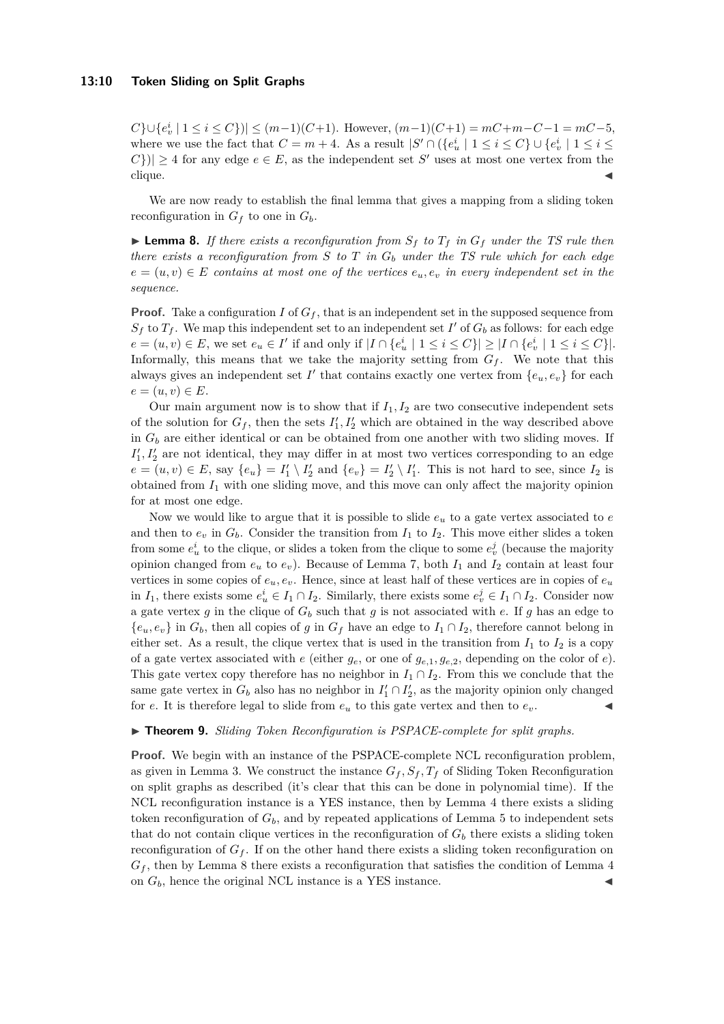*C*}∪{ $e_v^i$  | 1 ≤ *i* ≤ *C*})| ≤ (*m*−1)(*C*+1). However, (*m*−1)(*C*+1) = *mC*+*m*−*C*−1 = *mC*−5, where we use the fact that  $C = m + 4$ . As a result  $|S' \cap (\{e_u^i \mid 1 \le i \le C\} \cup \{e_v^i \mid 1 \le i \le n\})$  $|C\rangle$ | ≥ 4 for any edge  $e \in E$ , as the independent set *S*<sup>'</sup> uses at most one vertex from the  $clique.$ 

We are now ready to establish the final lemma that gives a mapping from a sliding token reconfiguration in  $G_f$  to one in  $G_b$ .

<span id="page-9-1"></span>**Example 8.** If there exists a reconfiguration from  $S_f$  to  $T_f$  in  $G_f$  under the TS rule then *there exists a reconfiguration from S to T in G<sup>b</sup> under the TS rule which for each edge*  $e = (u, v) \in E$  *contains at most one of the vertices*  $e_u, e_v$  *in every independent set in the sequence.*

**Proof.** Take a configuration *I* of  $G_f$ , that is an independent set in the supposed sequence from  $S_f$  to  $T_f$ . We map this independent set to an independent set  $I'$  of  $G_b$  as follows: for each edge  $e = (u, v) \in E$ , we set  $e_u \in I'$  if and only if  $|I \cap \{e_u^i \mid 1 \le i \le C\}| \ge |I \cap \{e_v^i \mid 1 \le i \le C\}|$ . Informally, this means that we take the majority setting from  $G_f$ . We note that this always gives an independent set  $I'$  that contains exactly one vertex from  ${e_u, e_v}$  for each  $e = (u, v) \in E$ .

Our main argument now is to show that if  $I_1, I_2$  are two consecutive independent sets of the solution for  $G_f$ , then the sets  $I'_1, I'_2$  which are obtained in the way described above in *G<sup>b</sup>* are either identical or can be obtained from one another with two sliding moves. If  $I_1', I_2'$  are not identical, they may differ in at most two vertices corresponding to an edge  $e = (u, v) \in E$ , say  $\{e_u\} = I'_1 \setminus I'_2$  and  $\{e_v\} = I'_2 \setminus I'_1$ . This is not hard to see, since  $I_2$  is obtained from *I*<sup>1</sup> with one sliding move, and this move can only affect the majority opinion for at most one edge.

Now we would like to argue that it is possible to slide *e<sup>u</sup>* to a gate vertex associated to *e* and then to  $e_v$  in  $G_b$ . Consider the transition from  $I_1$  to  $I_2$ . This move either slides a token from some  $e^i_u$  to the clique, or slides a token from the clique to some  $e^j_v$  (because the majority opinion changed from  $e_u$  to  $e_v$ ). Because of Lemma [7,](#page-8-1) both  $I_1$  and  $I_2$  contain at least four vertices in some copies of  $e_u, e_v$ . Hence, since at least half of these vertices are in copies of  $e_u$ in *I*<sub>1</sub>, there exists some  $e_u^i \in I_1 \cap I_2$ . Similarly, there exists some  $e_v^j \in I_1 \cap I_2$ . Consider now a gate vertex *g* in the clique of  $G_b$  such that *g* is not associated with *e*. If *g* has an edge to  ${e_u, e_v}$  in  $G_b$ , then all copies of *g* in  $G_f$  have an edge to  $I_1 \cap I_2$ , therefore cannot belong in either set. As a result, the clique vertex that is used in the transition from  $I_1$  to  $I_2$  is a copy of a gate vertex associated with  $e$  (either  $g_e$ , or one of  $g_{e,1}, g_{e,2}$ , depending on the color of  $e$ ). This gate vertex copy therefore has no neighbor in  $I_1 \cap I_2$ . From this we conclude that the same gate vertex in  $G_b$  also has no neighbor in  $I'_1 \cap I'_2$ , as the majority opinion only changed for *e*. It is therefore legal to slide from  $e<sub>u</sub>$  to this gate vertex and then to  $e<sub>v</sub>$ .

#### <span id="page-9-0"></span>▶ **Theorem 9.** *Sliding Token Reconfiguration is PSPACE-complete for split graphs.*

**Proof.** We begin with an instance of the PSPACE-complete NCL reconfiguration problem, as given in Lemma [3.](#page-4-0) We construct the instance  $G_f$ ,  $S_f$ ,  $T_f$  of Sliding Token Reconfiguration on split graphs as described (it's clear that this can be done in polynomial time). If the NCL reconfiguration instance is a YES instance, then by Lemma [4](#page-6-1) there exists a sliding token reconfiguration of  $G_b$ , and by repeated applications of Lemma [5](#page-8-2) to independent sets that do not contain clique vertices in the reconfiguration of  $G<sub>b</sub>$  there exists a sliding token reconfiguration of  $G_f$ . If on the other hand there exists a sliding token reconfiguration on  $G_f$ , then by Lemma [8](#page-9-1) there exists a reconfiguration that satisfies the condition of Lemma [4](#page-6-1) on  $G_b$ , hence the original NCL instance is a YES instance.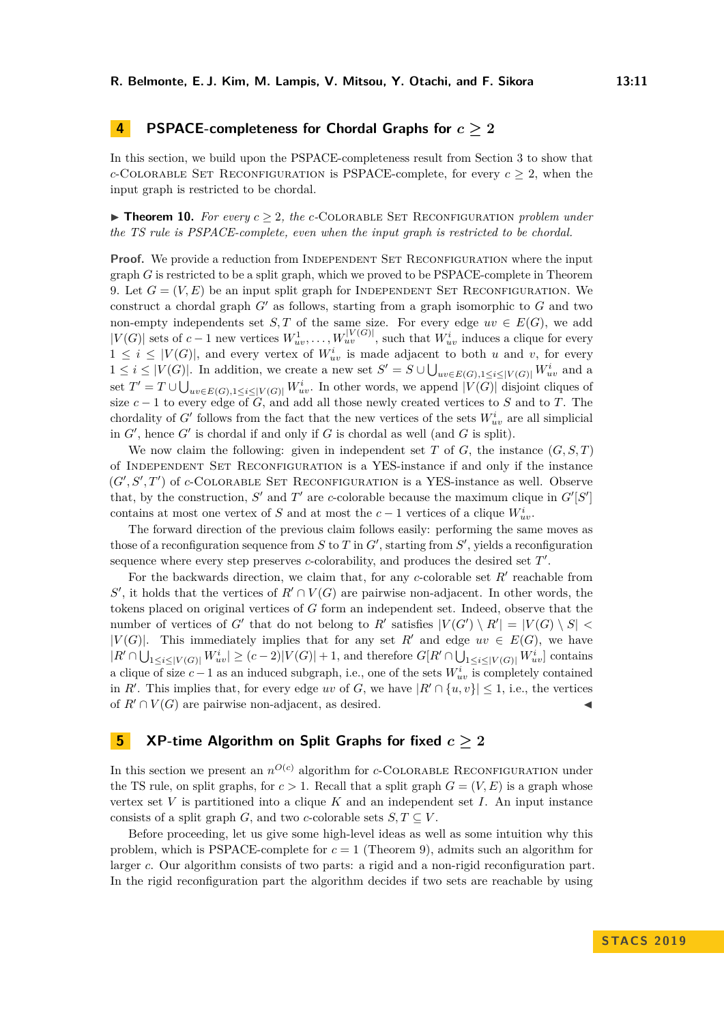# **4 PSPACE-completeness for Chordal Graphs for** *c* **≥ 2**

In this section, we build upon the PSPACE-completeness result from Section [3](#page-4-1) to show that *c*-COLORABLE SET RECONFIGURATION is PSPACE-complete, for every  $c \geq 2$ , when the input graph is restricted to be chordal.

<span id="page-10-0"></span> $\triangleright$  **Theorem 10.** For every  $c \geq 2$ , the c-COLORABLE SET RECONFIGURATION problem under *the TS rule is PSPACE-complete, even when the input graph is restricted to be chordal.*

**Proof.** We provide a reduction from INDEPENDENT SET RECONFIGURATION where the input graph *G* is restricted to be a split graph, which we proved to be PSPACE-complete in Theorem [9.](#page-9-0) Let  $G = (V, E)$  be an input split graph for INDEPENDENT SET RECONFIGURATION. We construct a chordal graph  $G'$  as follows, starting from a graph isomorphic to  $G$  and two non-empty independents set *S*, *T* of the same size. For every edge  $uv \in E(G)$ , we add  $|V(G)|$  sets of  $c-1$  new vertices  $W_{uv}^1, \ldots, W_{uv}^{|V(G)|}$ , such that  $W_{uv}^i$  induces a clique for every  $1 \leq i \leq |V(G)|$ , and every vertex of  $W_{uv}^i$  is made adjacent to both *u* and *v*, for every  $1 ≤ i ≤ |V(G)|$ . In addition, we create a new set  $S' = S ∪ ∪_{uv∈E(G),1 ≤ i≤|V(G)|} W^i_{uv}$  and a set  $T' = T \cup \bigcup_{uv \in E(G), 1 \leq i \leq |V(G)|} W^i_{uv}$ . In other words, we append  $|V(G)|$  disjoint cliques of size  $c - 1$  to every edge of  $G$ , and add all those newly created vertices to *S* and to *T*. The chordality of *G*<sup> $\prime$ </sup> follows from the fact that the new vertices of the sets  $W_{uv}^i$  are all simplicial in  $G'$ , hence  $G'$  is chordal if and only if  $G$  is chordal as well (and  $G$  is split).

We now claim the following: given in independent set  $T$  of  $G$ , the instance  $(G, S, T)$ of Independent Set Reconfiguration is a YES-instance if and only if the instance  $(G', S', T')$  of *c*-COLORABLE SET RECONFIGURATION is a YES-instance as well. Observe that, by the construction,  $S'$  and  $T'$  are *c*-colorable because the maximum clique in  $G'[S']$ contains at most one vertex of *S* and at most the  $c - 1$  vertices of a clique  $W_{uv}^i$ .

The forward direction of the previous claim follows easily: performing the same moves as those of a reconfiguration sequence from  $S$  to  $T$  in  $G'$ , starting from  $S'$ , yields a reconfiguration sequence where every step preserves *c*-colorability, and produces the desired set T'.

For the backwards direction, we claim that, for any  $c$ -colorable set  $R'$  reachable from  $S'$ , it holds that the vertices of  $R' \cap V(G)$  are pairwise non-adjacent. In other words, the tokens placed on original vertices of *G* form an independent set. Indeed, observe that the number of vertices of *G*<sup> $\prime$ </sup> that do not belong to *R*<sup> $\prime$ </sup> satisfies  $|V(G') \setminus R'| = |V(G) \setminus S|$ |*V*(*G*)|. This immediately implies that for any set *R'* and edge  $uv \in E(G)$ , we have  $|R' \cap \bigcup_{1 \leq i \leq |V(G)|} W_{uv}^i| \geq (c-2)|V(G)|+1$ , and therefore  $G[R' \cap \bigcup_{1 \leq i \leq |V(G)|} W_{uv}^i]$  contains a clique of size  $c - 1$  as an induced subgraph, i.e., one of the sets  $W_{uv}^i$  is completely contained in *R'*. This implies that, for every edge *uv* of *G*, we have  $|R' \cap \{u, v\}| \leq 1$ , i.e., the vertices of  $R' \cap V(G)$  are pairwise non-adjacent, as desired.

# <span id="page-10-1"></span>**5 XP-time Algorithm on Split Graphs for fixed** *c* **≥ 2**

In this section we present an  $n^{O(c)}$  algorithm for *c*-COLORABLE RECONFIGURATION under the TS rule, on split graphs, for  $c > 1$ . Recall that a split graph  $G = (V, E)$  is a graph whose vertex set *V* is partitioned into a clique *K* and an independent set *I*. An input instance consists of a split graph *G*, and two *c*-colorable sets  $S, T \subseteq V$ .

Before proceeding, let us give some high-level ideas as well as some intuition why this problem, which is PSPACE-complete for  $c = 1$  (Theorem [9\)](#page-9-0), admits such an algorithm for larger *c*. Our algorithm consists of two parts: a rigid and a non-rigid reconfiguration part. In the rigid reconfiguration part the algorithm decides if two sets are reachable by using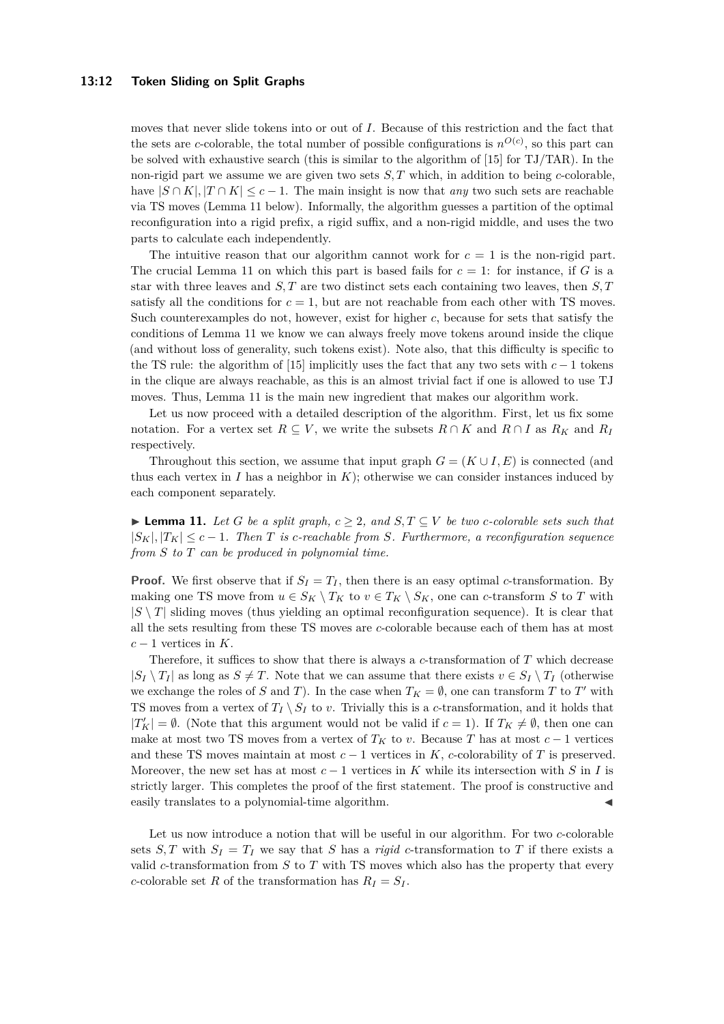#### **13:12 Token Sliding on Split Graphs**

moves that never slide tokens into or out of *I*. Because of this restriction and the fact that the sets are *c*-colorable, the total number of possible configurations is  $n^{O(c)}$ , so this part can be solved with exhaustive search (this is similar to the algorithm of [\[15\]](#page-16-5) for TJ/TAR). In the non-rigid part we assume we are given two sets *S, T* which, in addition to being *c*-colorable, have  $|S \cap K|$ ,  $|T \cap K| \leq c - 1$ . The main insight is now that *any* two such sets are reachable via TS moves (Lemma [11](#page-11-0) below). Informally, the algorithm guesses a partition of the optimal reconfiguration into a rigid prefix, a rigid suffix, and a non-rigid middle, and uses the two parts to calculate each independently.

The intuitive reason that our algorithm cannot work for  $c = 1$  is the non-rigid part. The crucial Lemma [11](#page-11-0) on which this part is based fails for  $c = 1$ : for instance, if G is a star with three leaves and *S, T* are two distinct sets each containing two leaves, then *S, T* satisfy all the conditions for  $c = 1$ , but are not reachable from each other with TS moves. Such counterexamples do not, however, exist for higher *c*, because for sets that satisfy the conditions of Lemma [11](#page-11-0) we know we can always freely move tokens around inside the clique (and without loss of generality, such tokens exist). Note also, that this difficulty is specific to the TS rule: the algorithm of [\[15\]](#page-16-5) implicitly uses the fact that any two sets with  $c - 1$  tokens in the clique are always reachable, as this is an almost trivial fact if one is allowed to use TJ moves. Thus, Lemma [11](#page-11-0) is the main new ingredient that makes our algorithm work.

Let us now proceed with a detailed description of the algorithm. First, let us fix some notation. For a vertex set  $R \subseteq V$ , we write the subsets  $R \cap K$  and  $R \cap I$  as  $R_K$  and  $R_I$ respectively.

Throughout this section, we assume that input graph  $G = (K \cup I, E)$  is connected (and thus each vertex in  $I$  has a neighbor in  $K$ ); otherwise we can consider instances induced by each component separately.

<span id="page-11-0"></span>► **Lemma 11.** Let *G* be a split graph,  $c \geq 2$ , and  $S, T \subseteq V$  be two *c*-colorable sets such that  $|S_K|, |T_K| \leq c - 1$ . Then *T* is *c*-reachable from *S.* Furthermore, a reconfiguration sequence *from S to T can be produced in polynomial time.*

**Proof.** We first observe that if  $S_I = T_I$ , then there is an easy optimal *c*-transformation. By making one TS move from  $u \in S_K \setminus T_K$  to  $v \in T_K \setminus S_K$ , one can *c*-transform *S* to *T* with  $|S \setminus T|$  sliding moves (thus yielding an optimal reconfiguration sequence). It is clear that all the sets resulting from these TS moves are *c*-colorable because each of them has at most *c* − 1 vertices in *K*.

Therefore, it suffices to show that there is always a *c*-transformation of *T* which decrease  $|S_I \setminus T_I|$  as long as  $S \neq T$ . Note that we can assume that there exists  $v \in S_I \setminus T_I$  (otherwise we exchange the roles of *S* and *T*). In the case when  $T_K = \emptyset$ , one can transform *T* to *T'* with TS moves from a vertex of  $T_I \setminus S_I$  to *v*. Trivially this is a *c*-transformation, and it holds that  $|T_K'| = \emptyset$ . (Note that this argument would not be valid if  $c = 1$ ). If  $T_K \neq \emptyset$ , then one can make at most two TS moves from a vertex of  $T_K$  to *v*. Because *T* has at most  $c-1$  vertices and these TS moves maintain at most  $c - 1$  vertices in  $K$ ,  $c$ -colorability of  $T$  is preserved. Moreover, the new set has at most  $c - 1$  vertices in K while its intersection with S in I is strictly larger. This completes the proof of the first statement. The proof is constructive and easily translates to a polynomial-time algorithm.

<span id="page-11-1"></span>Let us now introduce a notion that will be useful in our algorithm. For two *c*-colorable sets *S*, *T* with  $S_I = T_I$  we say that *S* has a *rigid c*-transformation to *T* if there exists a valid *c*-transformation from *S* to *T* with TS moves which also has the property that every *c*-colorable set *R* of the transformation has  $R_I = S_I$ .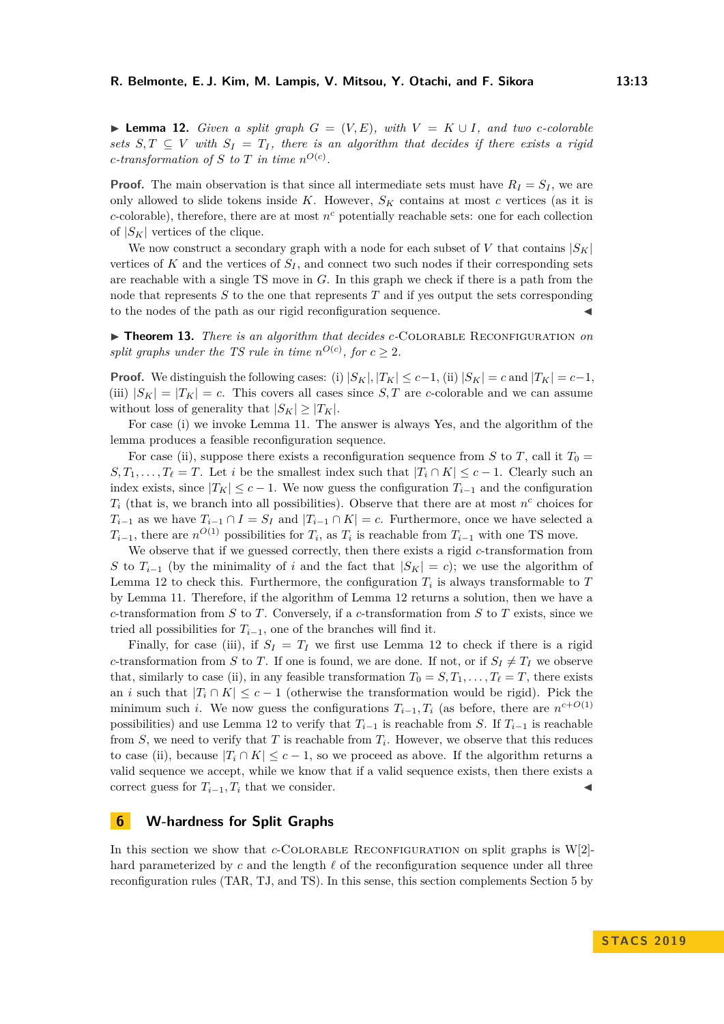▶ **Lemma 12.** *Given a split graph*  $G = (V, E)$ *, with*  $V = K \cup I$ *, and two c-colorable sets*  $S, T \subseteq V$  *with*  $S_I = T_I$ , there is an algorithm that decides if there exists a rigid *c*-transformation of *S* to *T* in time  $n^{O(c)}$ .

**Proof.** The main observation is that since all intermediate sets must have  $R_I = S_I$ , we are only allowed to slide tokens inside  $K$ . However,  $S_K$  contains at most  $c$  vertices (as it is  $c$ -colorable), therefore, there are at most  $n<sup>c</sup>$  potentially reachable sets: one for each collection of  $|S_K|$  vertices of the clique.

We now construct a secondary graph with a node for each subset of *V* that contains  $|S_K|$ vertices of  $K$  and the vertices of  $S_I$ , and connect two such nodes if their corresponding sets are reachable with a single TS move in *G*. In this graph we check if there is a path from the node that represents *S* to the one that represents *T* and if yes output the sets corresponding to the nodes of the path as our rigid reconfiguration sequence.

▶ **Theorem 13.** *There is an algorithm that decides c*-COLORABLE RECONFIGURATION *on split graphs under the TS rule in time*  $n^{O(c)}$ , for  $c \geq 2$ .

**Proof.** We distinguish the following cases: (i)  $|S_K|, |T_K| \leq c-1$ , (ii)  $|S_K| = c$  and  $|T_K| = c-1$ , (iii)  $|S_K| = |T_K| = c$ . This covers all cases since *S*, *T* are *c*-colorable and we can assume without loss of generality that  $|S_K| \geq |T_K|$ .

For case (i) we invoke Lemma [11.](#page-11-0) The answer is always Yes, and the algorithm of the lemma produces a feasible reconfiguration sequence.

For case (ii), suppose there exists a reconfiguration sequence from *S* to *T*, call it  $T_0 =$  $S, T_1, \ldots, T_\ell = T$ . Let *i* be the smallest index such that  $|T_i \cap K| \leq c - 1$ . Clearly such an index exists, since  $|T_K| \leq c - 1$ . We now guess the configuration  $T_{i-1}$  and the configuration  $T_i$  (that is, we branch into all possibilities). Observe that there are at most  $n^c$  choices for  $T_{i-1}$  as we have  $T_{i-1} \cap I = S_I$  and  $|T_{i-1} \cap K| = c$ . Furthermore, once we have selected a  $T_{i-1}$ , there are  $n^{O(1)}$  possibilities for  $T_i$ , as  $T_i$  is reachable from  $T_{i-1}$  with one TS move.

We observe that if we guessed correctly, then there exists a rigid *c*-transformation from *S* to  $T_{i-1}$  (by the minimality of *i* and the fact that  $|S_K| = c$ ); we use the algorithm of Lemma [12](#page-11-1) to check this. Furthermore, the configuration  $T_i$  is always transformable to  $T_i$ by Lemma [11.](#page-11-0) Therefore, if the algorithm of Lemma [12](#page-11-1) returns a solution, then we have a *c*-transformation from *S* to *T*. Conversely, if a *c*-transformation from *S* to *T* exists, since we tried all possibilities for  $T_{i-1}$ , one of the branches will find it.

Finally, for case (iii), if  $S_I = T_I$  we first use Lemma [12](#page-11-1) to check if there is a rigid *c*-transformation from *S* to *T*. If one is found, we are done. If not, or if  $S_I \neq T_I$  we observe that, similarly to case (ii), in any feasible transformation  $T_0 = S, T_1, \ldots, T_\ell = T$ , there exists an *i* such that  $|T_i \cap K| \leq c - 1$  (otherwise the transformation would be rigid). Pick the minimum such *i*. We now guess the configurations  $T_{i-1}, T_i$  (as before, there are  $n^{c+O(1)}$ possibilities) and use Lemma [12](#page-11-1) to verify that  $T_{i-1}$  is reachable from *S*. If  $T_{i-1}$  is reachable from  $S$ , we need to verify that  $T$  is reachable from  $T_i$ . However, we observe that this reduces to case (ii), because  $|T_i \cap K| \leq c - 1$ , so we proceed as above. If the algorithm returns a valid sequence we accept, while we know that if a valid sequence exists, then there exists a correct guess for  $T_{i-1}, T_i$  that we consider.

#### **6 W-hardness for Split Graphs**

In this section we show that  $c$ -COLORABLE RECONFIGURATION on split graphs is W[2]hard parameterized by  $c$  and the length  $\ell$  of the reconfiguration sequence under all three reconfiguration rules (TAR, TJ, and TS). In this sense, this section complements Section [5](#page-10-1) by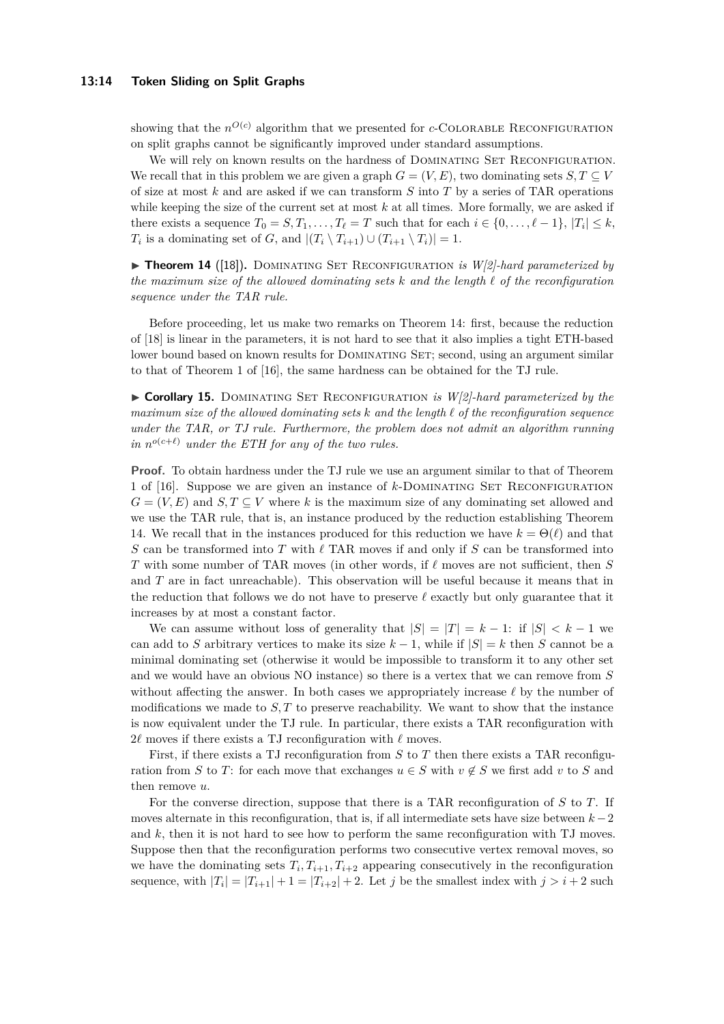#### **13:14 Token Sliding on Split Graphs**

showing that the  $n^{O(c)}$  algorithm that we presented for *c*-COLORABLE RECONFIGURATION on split graphs cannot be significantly improved under standard assumptions.

We will rely on known results on the hardness of DOMINATING SET RECONFIGURATION. We recall that in this problem we are given a graph  $G = (V, E)$ , two dominating sets  $S, T \subseteq V$ of size at most *k* and are asked if we can transform *S* into *T* by a series of TAR operations while keeping the size of the current set at most *k* at all times. More formally, we are asked if there exists a sequence  $T_0 = S, T_1, \ldots, T_\ell = T$  such that for each  $i \in \{0, \ldots, \ell - 1\}, |T_i| \leq k$ , *T*<sub>*i*</sub> is a dominating set of *G*, and  $|(T_i \setminus T_{i+1}) \cup (T_{i+1} \setminus T_i)| = 1$ .

<span id="page-13-0"></span>▶ **Theorem 14** ([\[18\]](#page-16-3)). DOMINATING SET RECONFIGURATION *is W[2]-hard parameterized by the maximum size of the allowed dominating sets*  $k$  *and the length*  $\ell$  *of the reconfiguration sequence under the TAR rule.*

Before proceeding, let us make two remarks on Theorem [14:](#page-13-0) first, because the reduction of [\[18\]](#page-16-3) is linear in the parameters, it is not hard to see that it also implies a tight ETH-based lower bound based on known results for DOMINATING SET; second, using an argument similar to that of Theorem 1 of [\[16\]](#page-16-2), the same hardness can be obtained for the TJ rule.

<span id="page-13-1"></span>► Corollary 15. DOMINATING SET RECONFIGURATION *is W[2]-hard parameterized by the maximum size of the allowed dominating sets k and the length ` of the reconfiguration sequence under the TAR, or TJ rule. Furthermore, the problem does not admit an algorithm running in*  $n^{o(c+\ell)}$  *under the ETH for any of the two rules.* 

**Proof.** To obtain hardness under the TJ rule we use an argument similar to that of Theorem 1 of [\[16\]](#page-16-2). Suppose we are given an instance of *k*-Dominating Set Reconfiguration  $G = (V, E)$  and  $S, T \subseteq V$  where *k* is the maximum size of any dominating set allowed and we use the TAR rule, that is, an instance produced by the reduction establishing Theorem [14.](#page-13-0) We recall that in the instances produced for this reduction we have  $k = \Theta(\ell)$  and that *S* can be transformed into *T* with  $\ell$  TAR moves if and only if *S* can be transformed into *T* with some number of TAR moves (in other words, if  $\ell$  moves are not sufficient, then *S* and *T* are in fact unreachable). This observation will be useful because it means that in the reduction that follows we do not have to preserve  $\ell$  exactly but only guarantee that it increases by at most a constant factor.

We can assume without loss of generality that  $|S| = |T| = k - 1$ : if  $|S| < k - 1$  we can add to *S* arbitrary vertices to make its size  $k-1$ , while if  $|S| = k$  then *S* cannot be a minimal dominating set (otherwise it would be impossible to transform it to any other set and we would have an obvious NO instance) so there is a vertex that we can remove from *S* without affecting the answer. In both cases we appropriately increase  $\ell$  by the number of modifications we made to *S, T* to preserve reachability. We want to show that the instance is now equivalent under the TJ rule. In particular, there exists a TAR reconfiguration with  $2\ell$  moves if there exists a TJ reconfiguration with  $\ell$  moves.

First, if there exists a TJ reconfiguration from *S* to *T* then there exists a TAR reconfiguration from *S* to *T*: for each move that exchanges  $u \in S$  with  $v \notin S$  we first add *v* to *S* and then remove *u*.

For the converse direction, suppose that there is a TAR reconfiguration of *S* to *T*. If moves alternate in this reconfiguration, that is, if all intermediate sets have size between *k* −2 and *k*, then it is not hard to see how to perform the same reconfiguration with TJ moves. Suppose then that the reconfiguration performs two consecutive vertex removal moves, so we have the dominating sets  $T_i, T_{i+1}, T_{i+2}$  appearing consecutively in the reconfiguration sequence, with  $|T_i| = |T_{i+1}| + 1 = |T_{i+2}| + 2$ . Let *j* be the smallest index with  $j > i+2$  such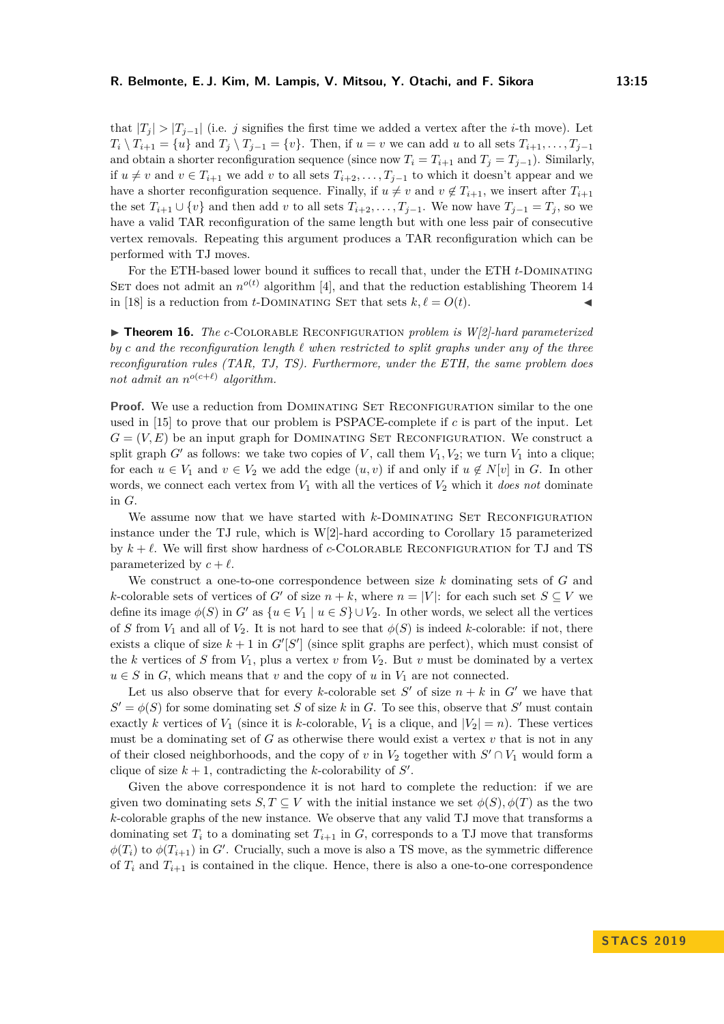that  $|T_i| > |T_{i-1}|$  (i.e. *j* signifies the first time we added a vertex after the *i*-th move). Let  $T_i \setminus T_{i+1} = \{u\}$  and  $T_j \setminus T_{j-1} = \{v\}$ . Then, if  $u = v$  we can add *u* to all sets  $T_{i+1}, \ldots, T_{j-1}$ and obtain a shorter reconfiguration sequence (since now  $T_i = T_{i+1}$  and  $T_j = T_{j-1}$ ). Similarly, if *u* ≠ *v* and *v* ∈ *T*<sub>*i*+1</sub> we add *v* to all sets *T*<sub>*i*+2</sub>, . . . , *T*<sub>*j*</sub>−1 to which it doesn't appear and we have a shorter reconfiguration sequence. Finally, if  $u \neq v$  and  $v \notin T_{i+1}$ , we insert after  $T_{i+1}$ the set  $T_{i+1} \cup \{v\}$  and then add *v* to all sets  $T_{i+2}, \ldots, T_{j-1}$ . We now have  $T_{j-1} = T_j$ , so we have a valid TAR reconfiguration of the same length but with one less pair of consecutive vertex removals. Repeating this argument produces a TAR reconfiguration which can be performed with TJ moves.

For the ETH-based lower bound it suffices to recall that, under the ETH *t*-Dominating SET does not admit an  $n^{o(t)}$  algorithm [\[4\]](#page-15-11), and that the reduction establishing Theorem [14](#page-13-0) in [\[18\]](#page-16-3) is a reduction from *t*-DOMINATING SET that sets  $k, \ell = O(t)$ .

▶ **Theorem 16.** *The c*-COLORABLE RECONFIGURATION *problem is W[2]-hard parameterized*  $by c$  *and the reconfiguration length*  $\ell$  *when restricted to split graphs under any of the three reconfiguration rules (TAR, TJ, TS). Furthermore, under the ETH, the same problem does not admit an*  $n^{o(c+\ell)}$  *algorithm.* 

**Proof.** We use a reduction from DOMINATING SET RECONFIGURATION similar to the one used in [\[15\]](#page-16-5) to prove that our problem is PSPACE-complete if *c* is part of the input. Let  $G = (V, E)$  be an input graph for DOMINATING SET RECONFIGURATION. We construct a split graph *G*<sup> $\prime$ </sup> as follows: we take two copies of *V*, call them  $V_1$ ,  $V_2$ ; we turn  $V_1$  into a clique; for each  $u \in V_1$  and  $v \in V_2$  we add the edge  $(u, v)$  if and only if  $u \notin N[v]$  in *G*. In other words, we connect each vertex from *V*<sup>1</sup> with all the vertices of *V*<sup>2</sup> which it *does not* dominate in *G*.

We assume now that we have started with *k*-DOMINATING SET RECONFIGURATION instance under the TJ rule, which is W[2]-hard according to Corollary [15](#page-13-1) parameterized by  $k + \ell$ . We will first show hardness of *c*-COLORABLE RECONFIGURATION for TJ and TS parameterized by  $c + \ell$ .

We construct a one-to-one correspondence between size *k* dominating sets of *G* and *k*-colorable sets of vertices of *G'* of size  $n + k$ , where  $n = |V|$ : for each such set  $S \subseteq V$  we define its image  $\phi(S)$  in  $G'$  as  $\{u \in V_1 \mid u \in S\} \cup V_2$ . In other words, we select all the vertices of *S* from  $V_1$  and all of  $V_2$ . It is not hard to see that  $\phi(S)$  is indeed *k*-colorable: if not, there exists a clique of size  $k + 1$  in  $G'[S']$  (since split graphs are perfect), which must consist of the *k* vertices of *S* from  $V_1$ , plus a vertex *v* from  $V_2$ . But *v* must be dominated by a vertex  $u \in S$  in *G*, which means that *v* and the copy of *u* in  $V_1$  are not connected.

Let us also observe that for every *k*-colorable set  $S'$  of size  $n + k$  in  $G'$  we have that  $S' = \phi(S)$  for some dominating set *S* of size *k* in *G*. To see this, observe that *S*' must contain exactly *k* vertices of  $V_1$  (since it is *k*-colorable,  $V_1$  is a clique, and  $|V_2| = n$ ). These vertices must be a dominating set of  $G$  as otherwise there would exist a vertex  $v$  that is not in any of their closed neighborhoods, and the copy of  $v$  in  $V_2$  together with  $S' \cap V_1$  would form a clique of size  $k + 1$ , contradicting the *k*-colorability of  $S'$ .

Given the above correspondence it is not hard to complete the reduction: if we are given two dominating sets  $S, T \subseteq V$  with the initial instance we set  $\phi(S), \phi(T)$  as the two *k*-colorable graphs of the new instance. We observe that any valid TJ move that transforms a dominating set  $T_i$  to a dominating set  $T_{i+1}$  in  $G$ , corresponds to a TJ move that transforms  $\phi(T_i)$  to  $\phi(T_{i+1})$  in *G*<sup> $\prime$ </sup>. Crucially, such a move is also a TS move, as the symmetric difference of  $T_i$  and  $T_{i+1}$  is contained in the clique. Hence, there is also a one-to-one correspondence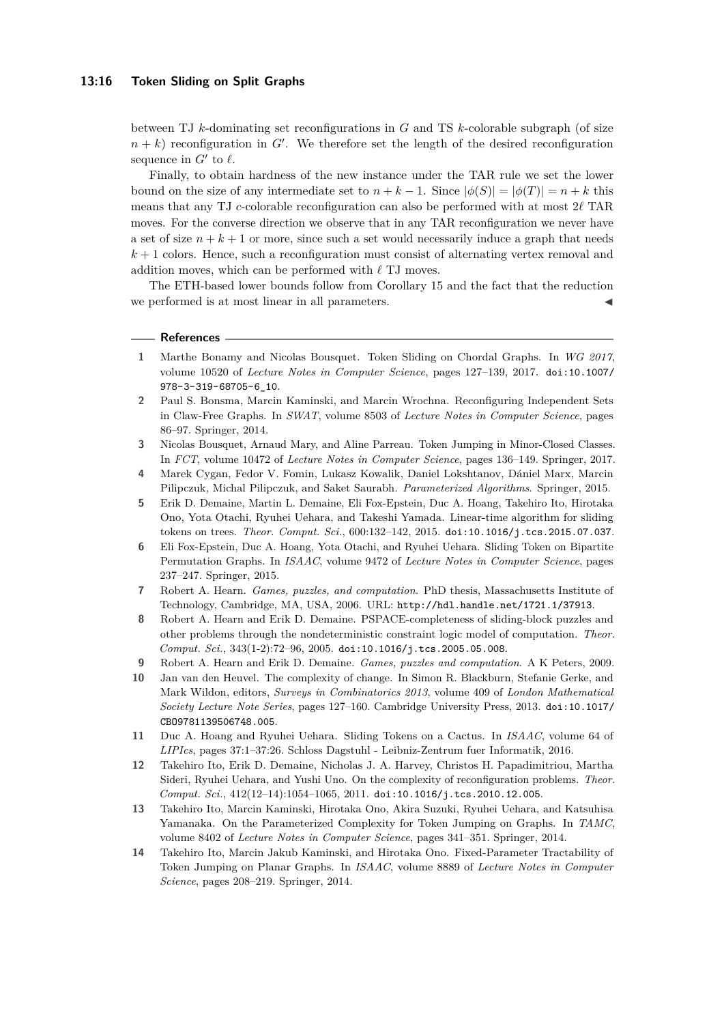#### **13:16 Token Sliding on Split Graphs**

between TJ *k*-dominating set reconfigurations in *G* and TS *k*-colorable subgraph (of size  $n + k$ ) reconfiguration in  $G'$ . We therefore set the length of the desired reconfiguration sequence in  $G'$  to  $\ell$ .

Finally, to obtain hardness of the new instance under the TAR rule we set the lower bound on the size of any intermediate set to  $n + k - 1$ . Since  $|\phi(S)| = |\phi(T)| = n + k$  this means that any TJ *c*-colorable reconfiguration can also be performed with at most  $2\ell$  TAR moves. For the converse direction we observe that in any TAR reconfiguration we never have a set of size  $n + k + 1$  or more, since such a set would necessarily induce a graph that needs *k* + 1 colors. Hence, such a reconfiguration must consist of alternating vertex removal and addition moves, which can be performed with  $\ell$  TJ moves.

The ETH-based lower bounds follow from Corollary [15](#page-13-1) and the fact that the reduction we performed is at most linear in all parameters.

#### **References**

- <span id="page-15-6"></span>**1** Marthe Bonamy and Nicolas Bousquet. Token Sliding on Chordal Graphs. In *WG 2017*, volume 10520 of *Lecture Notes in Computer Science*, pages 127–139, 2017. [doi:10.1007/](http://dx.doi.org/10.1007/978-3-319-68705-6_10) [978-3-319-68705-6\\_10](http://dx.doi.org/10.1007/978-3-319-68705-6_10).
- <span id="page-15-1"></span>**2** Paul S. Bonsma, Marcin Kaminski, and Marcin Wrochna. Reconfiguring Independent Sets in Claw-Free Graphs. In *SWAT*, volume 8503 of *Lecture Notes in Computer Science*, pages 86–97. Springer, 2014.
- <span id="page-15-2"></span>**3** Nicolas Bousquet, Arnaud Mary, and Aline Parreau. Token Jumping in Minor-Closed Classes. In *FCT*, volume 10472 of *Lecture Notes in Computer Science*, pages 136–149. Springer, 2017.
- <span id="page-15-11"></span>**4** Marek Cygan, Fedor V. Fomin, Lukasz Kowalik, Daniel Lokshtanov, Dániel Marx, Marcin Pilipczuk, Michal Pilipczuk, and Saket Saurabh. *Parameterized Algorithms*. Springer, 2015.
- <span id="page-15-7"></span>**5** Erik D. Demaine, Martin L. Demaine, Eli Fox-Epstein, Duc A. Hoang, Takehiro Ito, Hirotaka Ono, Yota Otachi, Ryuhei Uehara, and Takeshi Yamada. Linear-time algorithm for sliding tokens on trees. *Theor. Comput. Sci.*, 600:132–142, 2015. [doi:10.1016/j.tcs.2015.07.037](http://dx.doi.org/10.1016/j.tcs.2015.07.037).
- <span id="page-15-8"></span>**6** Eli Fox-Epstein, Duc A. Hoang, Yota Otachi, and Ryuhei Uehara. Sliding Token on Bipartite Permutation Graphs. In *ISAAC*, volume 9472 of *Lecture Notes in Computer Science*, pages 237–247. Springer, 2015.
- <span id="page-15-12"></span>**7** Robert A. Hearn. *Games, puzzles, and computation*. PhD thesis, Massachusetts Institute of Technology, Cambridge, MA, USA, 2006. URL: <http://hdl.handle.net/1721.1/37913>.
- <span id="page-15-9"></span>**8** Robert A. Hearn and Erik D. Demaine. PSPACE-completeness of sliding-block puzzles and other problems through the nondeterministic constraint logic model of computation. *Theor. Comput. Sci.*, 343(1-2):72–96, 2005. [doi:10.1016/j.tcs.2005.05.008](http://dx.doi.org/10.1016/j.tcs.2005.05.008).
- <span id="page-15-13"></span>**9** Robert A. Hearn and Erik D. Demaine. *Games, puzzles and computation*. A K Peters, 2009.
- <span id="page-15-0"></span>**10** Jan van den Heuvel. The complexity of change. In Simon R. Blackburn, Stefanie Gerke, and Mark Wildon, editors, *Surveys in Combinatorics 2013*, volume 409 of *London Mathematical Society Lecture Note Series*, pages 127–160. Cambridge University Press, 2013. [doi:10.1017/](http://dx.doi.org/10.1017/CBO9781139506748.005) [CBO9781139506748.005](http://dx.doi.org/10.1017/CBO9781139506748.005).
- <span id="page-15-10"></span>**11** Duc A. Hoang and Ryuhei Uehara. Sliding Tokens on a Cactus. In *ISAAC*, volume 64 of *LIPIcs*, pages 37:1–37:26. Schloss Dagstuhl - Leibniz-Zentrum fuer Informatik, 2016.
- <span id="page-15-3"></span>**12** Takehiro Ito, Erik D. Demaine, Nicholas J. A. Harvey, Christos H. Papadimitriou, Martha Sideri, Ryuhei Uehara, and Yushi Uno. On the complexity of reconfiguration problems. *Theor. Comput. Sci.*, 412(12–14):1054–1065, 2011. [doi:10.1016/j.tcs.2010.12.005](http://dx.doi.org/10.1016/j.tcs.2010.12.005).
- <span id="page-15-4"></span>**13** Takehiro Ito, Marcin Kaminski, Hirotaka Ono, Akira Suzuki, Ryuhei Uehara, and Katsuhisa Yamanaka. On the Parameterized Complexity for Token Jumping on Graphs. In *TAMC*, volume 8402 of *Lecture Notes in Computer Science*, pages 341–351. Springer, 2014.
- <span id="page-15-5"></span>**14** Takehiro Ito, Marcin Jakub Kaminski, and Hirotaka Ono. Fixed-Parameter Tractability of Token Jumping on Planar Graphs. In *ISAAC*, volume 8889 of *Lecture Notes in Computer Science*, pages 208–219. Springer, 2014.